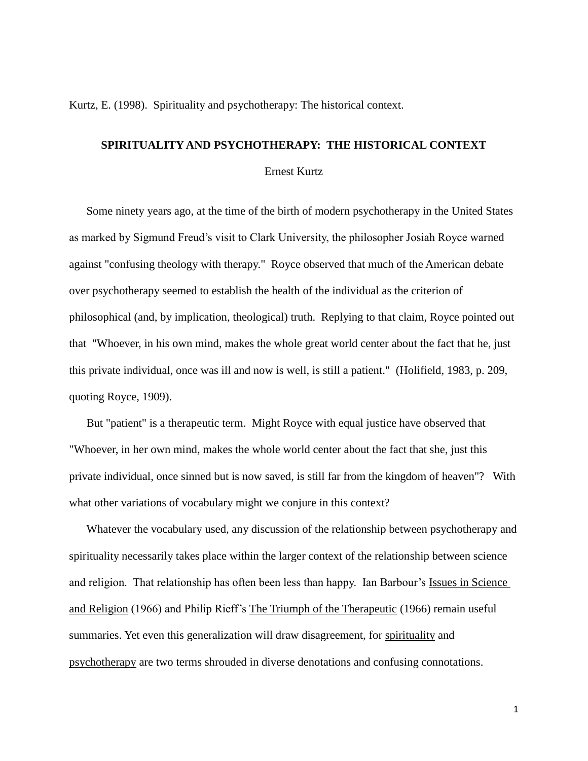Kurtz, E. (1998). Spirituality and psychotherapy: The historical context.

# **SPIRITUALITY AND PSYCHOTHERAPY: THE HISTORICAL CONTEXT**

# Ernest Kurtz

Some ninety years ago, at the time of the birth of modern psychotherapy in the United States as marked by Sigmund Freud's visit to Clark University, the philosopher Josiah Royce warned against "confusing theology with therapy." Royce observed that much of the American debate over psychotherapy seemed to establish the health of the individual as the criterion of philosophical (and, by implication, theological) truth. Replying to that claim, Royce pointed out that "Whoever, in his own mind, makes the whole great world center about the fact that he, just this private individual, once was ill and now is well, is still a patient." (Holifield, 1983, p. 209, quoting Royce, 1909).

But "patient" is a therapeutic term. Might Royce with equal justice have observed that "Whoever, in her own mind, makes the whole world center about the fact that she, just this private individual, once sinned but is now saved, is still far from the kingdom of heaven"? With what other variations of vocabulary might we conjure in this context?

Whatever the vocabulary used, any discussion of the relationship between psychotherapy and spirituality necessarily takes place within the larger context of the relationship between science and religion. That relationship has often been less than happy. Ian Barbour's Issues in Science and Religion (1966) and Philip Rieff's The Triumph of the Therapeutic (1966) remain useful summaries. Yet even this generalization will draw disagreement, for spirituality and psychotherapy are two terms shrouded in diverse denotations and confusing connotations.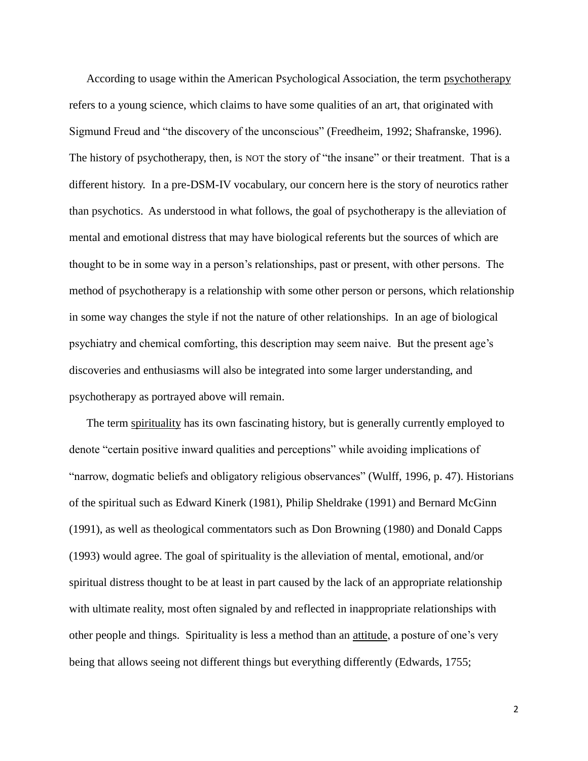According to usage within the American Psychological Association, the term psychotherapy refers to a young science, which claims to have some qualities of an art, that originated with Sigmund Freud and "the discovery of the unconscious" (Freedheim, 1992; Shafranske, 1996). The history of psychotherapy, then, is NOT the story of "the insane" or their treatment. That is a different history. In a pre-DSM-IV vocabulary, our concern here is the story of neurotics rather than psychotics. As understood in what follows, the goal of psychotherapy is the alleviation of mental and emotional distress that may have biological referents but the sources of which are thought to be in some way in a person's relationships, past or present, with other persons. The method of psychotherapy is a relationship with some other person or persons, which relationship in some way changes the style if not the nature of other relationships. In an age of biological psychiatry and chemical comforting, this description may seem naive. But the present age's discoveries and enthusiasms will also be integrated into some larger understanding, and psychotherapy as portrayed above will remain.

The term spirituality has its own fascinating history, but is generally currently employed to denote "certain positive inward qualities and perceptions" while avoiding implications of "narrow, dogmatic beliefs and obligatory religious observances" (Wulff, 1996, p. 47). Historians of the spiritual such as Edward Kinerk (1981), Philip Sheldrake (1991) and Bernard McGinn (1991), as well as theological commentators such as Don Browning (1980) and Donald Capps (1993) would agree. The goal of spirituality is the alleviation of mental, emotional, and/or spiritual distress thought to be at least in part caused by the lack of an appropriate relationship with ultimate reality, most often signaled by and reflected in inappropriate relationships with other people and things. Spirituality is less a method than an attitude, a posture of one's very being that allows seeing not different things but everything differently (Edwards, 1755;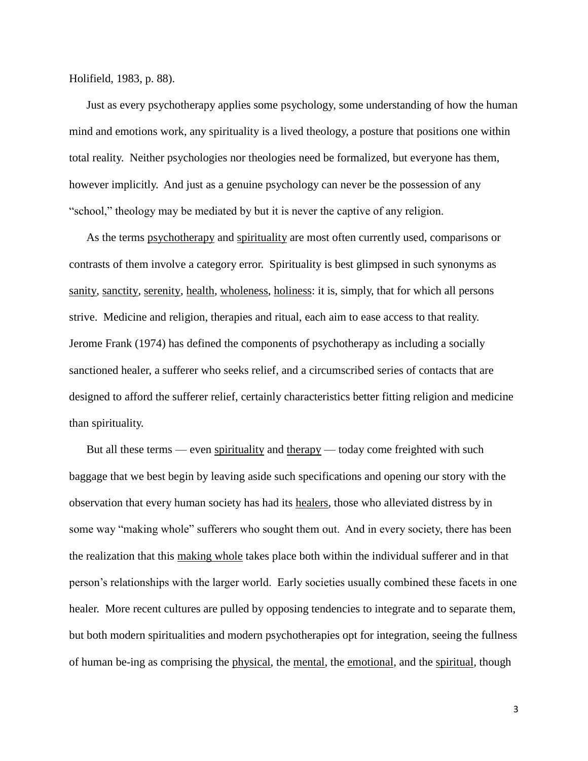Holifield, 1983, p. 88).

Just as every psychotherapy applies some psychology, some understanding of how the human mind and emotions work, any spirituality is a lived theology, a posture that positions one within total reality. Neither psychologies nor theologies need be formalized, but everyone has them, however implicitly. And just as a genuine psychology can never be the possession of any "school," theology may be mediated by but it is never the captive of any religion.

As the terms psychotherapy and spirituality are most often currently used, comparisons or contrasts of them involve a category error. Spirituality is best glimpsed in such synonyms as sanity, sanctity, serenity, health, wholeness, holiness: it is, simply, that for which all persons strive. Medicine and religion, therapies and ritual, each aim to ease access to that reality. Jerome Frank (1974) has defined the components of psychotherapy as including a socially sanctioned healer, a sufferer who seeks relief, and a circumscribed series of contacts that are designed to afford the sufferer relief, certainly characteristics better fitting religion and medicine than spirituality.

But all these terms — even spirituality and therapy — today come freighted with such baggage that we best begin by leaving aside such specifications and opening our story with the observation that every human society has had its healers, those who alleviated distress by in some way "making whole" sufferers who sought them out. And in every society, there has been the realization that this making whole takes place both within the individual sufferer and in that person's relationships with the larger world. Early societies usually combined these facets in one healer. More recent cultures are pulled by opposing tendencies to integrate and to separate them, but both modern spiritualities and modern psychotherapies opt for integration, seeing the fullness of human be-ing as comprising the physical, the mental, the emotional, and the spiritual*,* though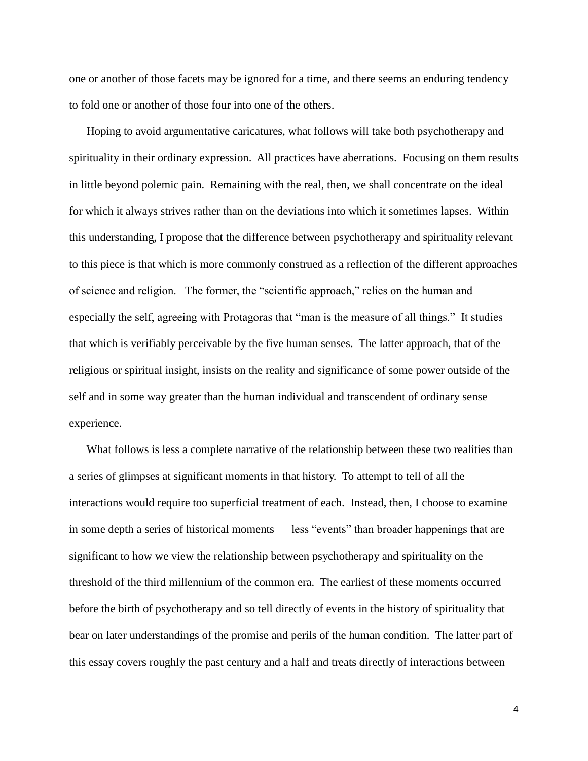one or another of those facets may be ignored for a time, and there seems an enduring tendency to fold one or another of those four into one of the others.

Hoping to avoid argumentative caricatures, what follows will take both psychotherapy and spirituality in their ordinary expression. All practices have aberrations. Focusing on them results in little beyond polemic pain. Remaining with the real, then, we shall concentrate on the ideal for which it always strives rather than on the deviations into which it sometimes lapses. Within this understanding, I propose that the difference between psychotherapy and spirituality relevant to this piece is that which is more commonly construed as a reflection of the different approaches of science and religion. The former, the "scientific approach," relies on the human and especially the self, agreeing with Protagoras that "man is the measure of all things." It studies that which is verifiably perceivable by the five human senses. The latter approach, that of the religious or spiritual insight, insists on the reality and significance of some power outside of the self and in some way greater than the human individual and transcendent of ordinary sense experience.

What follows is less a complete narrative of the relationship between these two realities than a series of glimpses at significant moments in that history. To attempt to tell of all the interactions would require too superficial treatment of each. Instead, then, I choose to examine in some depth a series of historical moments — less "events" than broader happenings that are significant to how we view the relationship between psychotherapy and spirituality on the threshold of the third millennium of the common era. The earliest of these moments occurred before the birth of psychotherapy and so tell directly of events in the history of spirituality that bear on later understandings of the promise and perils of the human condition. The latter part of this essay covers roughly the past century and a half and treats directly of interactions between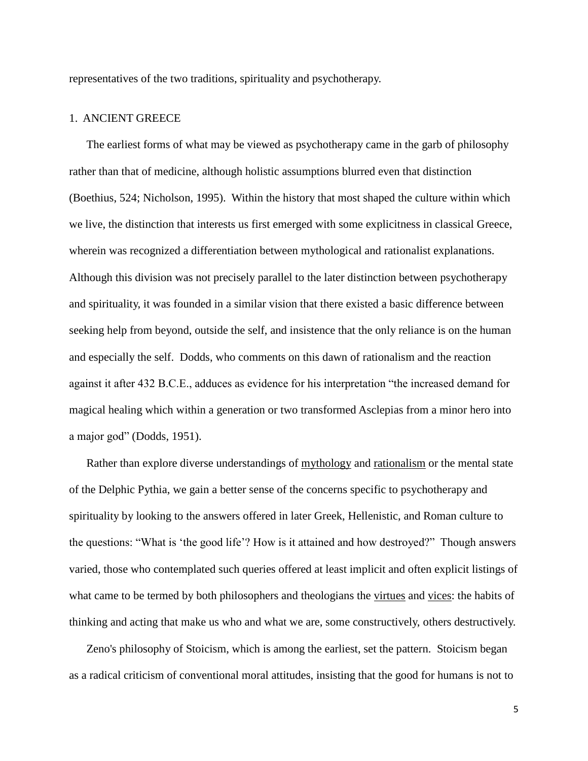representatives of the two traditions, spirituality and psychotherapy.

## 1. ANCIENT GREECE

The earliest forms of what may be viewed as psychotherapy came in the garb of philosophy rather than that of medicine, although holistic assumptions blurred even that distinction (Boethius, 524; Nicholson, 1995). Within the history that most shaped the culture within which we live, the distinction that interests us first emerged with some explicitness in classical Greece, wherein was recognized a differentiation between mythological and rationalist explanations. Although this division was not precisely parallel to the later distinction between psychotherapy and spirituality, it was founded in a similar vision that there existed a basic difference between seeking help from beyond, outside the self, and insistence that the only reliance is on the human and especially the self. Dodds, who comments on this dawn of rationalism and the reaction against it after 432 B.C.E., adduces as evidence for his interpretation "the increased demand for magical healing which within a generation or two transformed Asclepias from a minor hero into a major god" (Dodds, 1951).

Rather than explore diverse understandings of mythology and rationalism or the mental state of the Delphic Pythia, we gain a better sense of the concerns specific to psychotherapy and spirituality by looking to the answers offered in later Greek, Hellenistic, and Roman culture to the questions: "What is 'the good life'? How is it attained and how destroyed?" Though answers varied, those who contemplated such queries offered at least implicit and often explicit listings of what came to be termed by both philosophers and theologians the virtues and vices: the habits of thinking and acting that make us who and what we are, some constructively, others destructively.

Zeno's philosophy of Stoicism, which is among the earliest, set the pattern. Stoicism began as a radical criticism of conventional moral attitudes, insisting that the good for humans is not to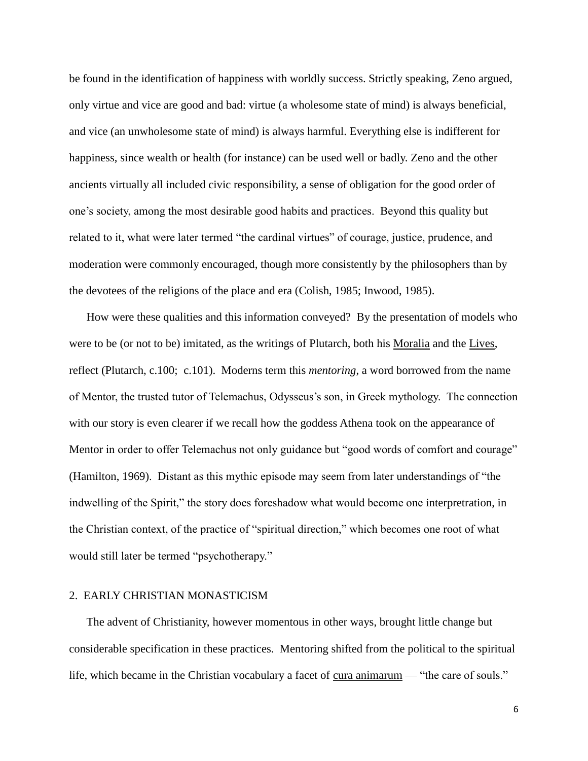be found in the identification of happiness with worldly success. Strictly speaking, Zeno argued, only virtue and vice are good and bad: virtue (a wholesome state of mind) is always beneficial, and vice (an unwholesome state of mind) is always harmful. Everything else is indifferent for happiness, since wealth or health (for instance) can be used well or badly. Zeno and the other ancients virtually all included civic responsibility, a sense of obligation for the good order of one's society, among the most desirable good habits and practices. Beyond this quality but related to it, what were later termed "the cardinal virtues" of courage, justice, prudence, and moderation were commonly encouraged, though more consistently by the philosophers than by the devotees of the religions of the place and era (Colish, 1985; Inwood, 1985).

How were these qualities and this information conveyed? By the presentation of models who were to be (or not to be) imitated, as the writings of Plutarch, both his Moralia and the Lives, reflect (Plutarch, c.100; c.101). Moderns term this *mentoring*, a word borrowed from the name of Mentor, the trusted tutor of Telemachus, Odysseus's son, in Greek mythology. The connection with our story is even clearer if we recall how the goddess Athena took on the appearance of Mentor in order to offer Telemachus not only guidance but "good words of comfort and courage" (Hamilton, 1969). Distant as this mythic episode may seem from later understandings of "the indwelling of the Spirit," the story does foreshadow what would become one interpretration, in the Christian context, of the practice of "spiritual direction," which becomes one root of what would still later be termed "psychotherapy."

#### 2. EARLY CHRISTIAN MONASTICISM

The advent of Christianity, however momentous in other ways, brought little change but considerable specification in these practices. Mentoring shifted from the political to the spiritual life, which became in the Christian vocabulary a facet of cura animarum — "the care of souls."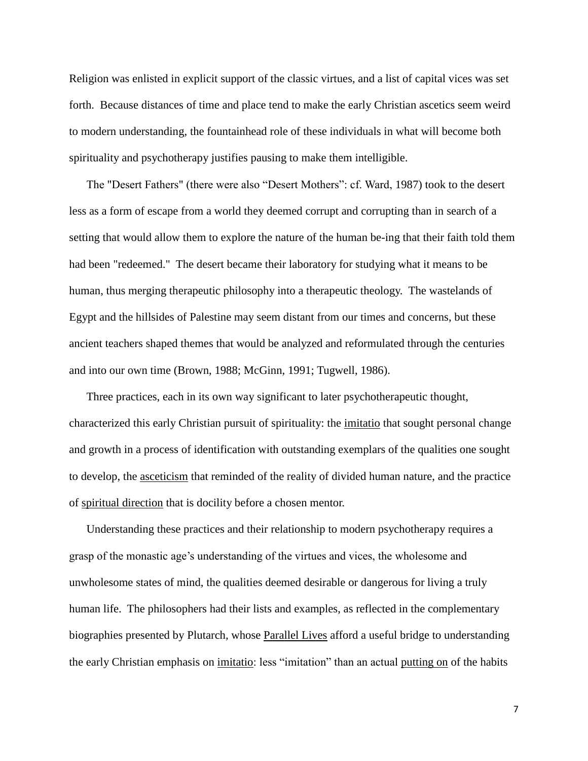Religion was enlisted in explicit support of the classic virtues, and a list of capital vices was set forth. Because distances of time and place tend to make the early Christian ascetics seem weird to modern understanding, the fountainhead role of these individuals in what will become both spirituality and psychotherapy justifies pausing to make them intelligible.

The "Desert Fathers" (there were also "Desert Mothers": cf. Ward, 1987) took to the desert less as a form of escape from a world they deemed corrupt and corrupting than in search of a setting that would allow them to explore the nature of the human be-ing that their faith told them had been "redeemed." The desert became their laboratory for studying what it means to be human, thus merging therapeutic philosophy into a therapeutic theology. The wastelands of Egypt and the hillsides of Palestine may seem distant from our times and concerns, but these ancient teachers shaped themes that would be analyzed and reformulated through the centuries and into our own time (Brown, 1988; McGinn, 1991; Tugwell, 1986).

Three practices, each in its own way significant to later psychotherapeutic thought, characterized this early Christian pursuit of spirituality: the imitatio that sought personal change and growth in a process of identification with outstanding exemplars of the qualities one sought to develop, the asceticism that reminded of the reality of divided human nature, and the practice of spiritual direction that is docility before a chosen mentor.

Understanding these practices and their relationship to modern psychotherapy requires a grasp of the monastic age's understanding of the virtues and vices, the wholesome and unwholesome states of mind, the qualities deemed desirable or dangerous for living a truly human life. The philosophers had their lists and examples, as reflected in the complementary biographies presented by Plutarch, whose Parallel Lives afford a useful bridge to understanding the early Christian emphasis on imitatio: less "imitation" than an actual putting on of the habits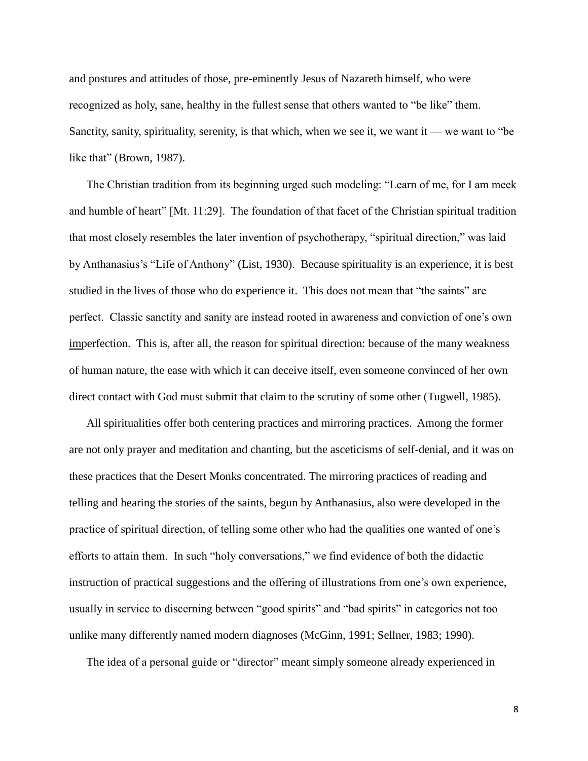and postures and attitudes of those, pre-eminently Jesus of Nazareth himself, who were recognized as holy, sane, healthy in the fullest sense that others wanted to "be like" them. Sanctity, sanity, spirituality, serenity, is that which, when we see it, we want it — we want to "be like that" (Brown, 1987).

The Christian tradition from its beginning urged such modeling: "Learn of me, for I am meek and humble of heart" [Mt. 11:29]. The foundation of that facet of the Christian spiritual tradition that most closely resembles the later invention of psychotherapy, "spiritual direction," was laid by Anthanasius's "Life of Anthony" (List, 1930). Because spirituality is an experience, it is best studied in the lives of those who do experience it. This does not mean that "the saints" are perfect. Classic sanctity and sanity are instead rooted in awareness and conviction of one's own imperfection. This is, after all, the reason for spiritual direction: because of the many weakness of human nature, the ease with which it can deceive itself, even someone convinced of her own direct contact with God must submit that claim to the scrutiny of some other (Tugwell, 1985).

All spiritualities offer both centering practices and mirroring practices. Among the former are not only prayer and meditation and chanting, but the asceticisms of self-denial, and it was on these practices that the Desert Monks concentrated. The mirroring practices of reading and telling and hearing the stories of the saints, begun by Anthanasius, also were developed in the practice of spiritual direction, of telling some other who had the qualities one wanted of one's efforts to attain them. In such "holy conversations," we find evidence of both the didactic instruction of practical suggestions and the offering of illustrations from one's own experience, usually in service to discerning between "good spirits" and "bad spirits" in categories not too unlike many differently named modern diagnoses (McGinn, 1991; Sellner, 1983; 1990).

The idea of a personal guide or "director" meant simply someone already experienced in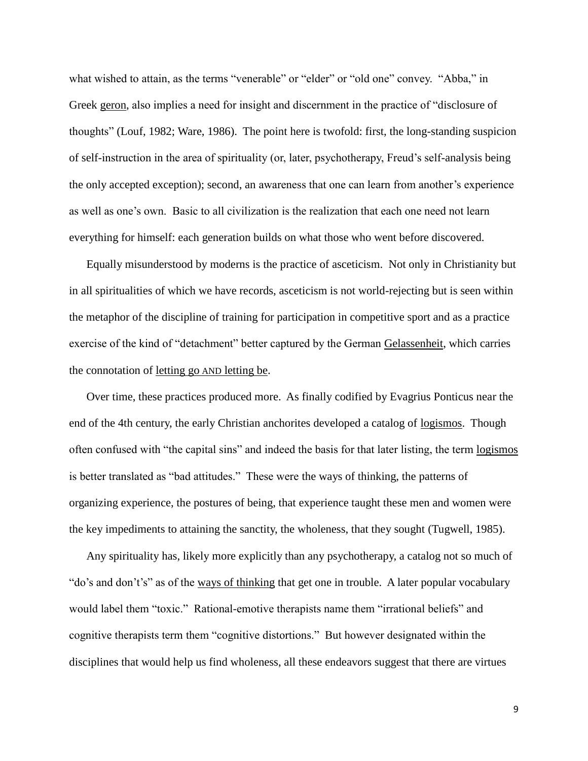what wished to attain, as the terms "venerable" or "elder" or "old one" convey. "Abba," in Greek geron, also implies a need for insight and discernment in the practice of "disclosure of thoughts" (Louf, 1982; Ware, 1986). The point here is twofold: first, the long-standing suspicion of self-instruction in the area of spirituality (or, later, psychotherapy, Freud's self-analysis being the only accepted exception); second, an awareness that one can learn from another's experience as well as one's own. Basic to all civilization is the realization that each one need not learn everything for himself: each generation builds on what those who went before discovered.

Equally misunderstood by moderns is the practice of asceticism. Not only in Christianity but in all spiritualities of which we have records, asceticism is not world-rejecting but is seen within the metaphor of the discipline of training for participation in competitive sport and as a practice exercise of the kind of "detachment" better captured by the German Gelassenheit, which carries the connotation of letting go AND letting be.

Over time, these practices produced more. As finally codified by Evagrius Ponticus near the end of the 4th century, the early Christian anchorites developed a catalog of logismos. Though often confused with "the capital sins" and indeed the basis for that later listing, the term logismos is better translated as "bad attitudes." These were the ways of thinking, the patterns of organizing experience, the postures of being, that experience taught these men and women were the key impediments to attaining the sanctity, the wholeness, that they sought (Tugwell, 1985).

Any spirituality has, likely more explicitly than any psychotherapy, a catalog not so much of "do's and don't's" as of the ways of thinking that get one in trouble. A later popular vocabulary would label them "toxic." Rational-emotive therapists name them "irrational beliefs" and cognitive therapists term them "cognitive distortions." But however designated within the disciplines that would help us find wholeness, all these endeavors suggest that there are virtues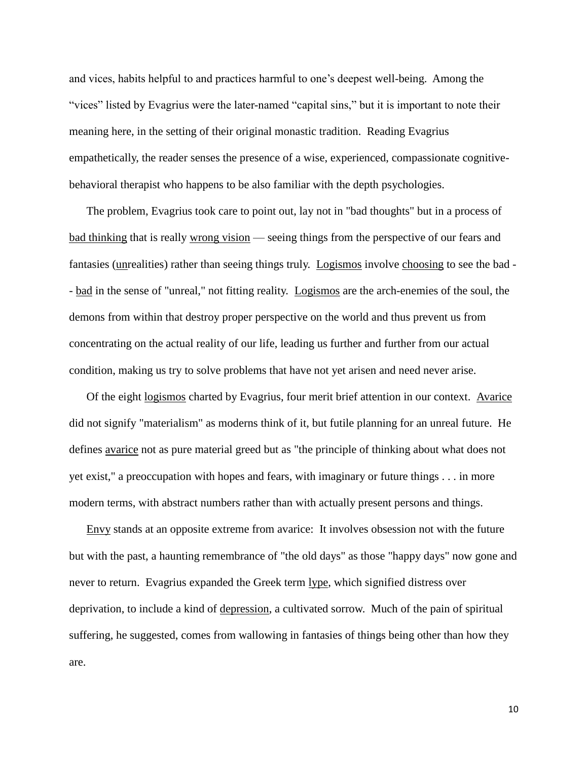and vices, habits helpful to and practices harmful to one's deepest well-being. Among the "vices" listed by Evagrius were the later-named "capital sins," but it is important to note their meaning here, in the setting of their original monastic tradition. Reading Evagrius empathetically, the reader senses the presence of a wise, experienced, compassionate cognitivebehavioral therapist who happens to be also familiar with the depth psychologies.

The problem, Evagrius took care to point out, lay not in "bad thoughts" but in a process of bad thinking that is really wrong vision — seeing things from the perspective of our fears and fantasies (unrealities) rather than seeing things truly. Logismos involve choosing to see the bad - - bad in the sense of "unreal," not fitting reality. Logismos are the arch-enemies of the soul, the demons from within that destroy proper perspective on the world and thus prevent us from concentrating on the actual reality of our life, leading us further and further from our actual condition, making us try to solve problems that have not yet arisen and need never arise.

Of the eight logismos charted by Evagrius, four merit brief attention in our context. Avarice did not signify "materialism" as moderns think of it, but futile planning for an unreal future. He defines avarice not as pure material greed but as "the principle of thinking about what does not yet exist," a preoccupation with hopes and fears, with imaginary or future things . . . in more modern terms, with abstract numbers rather than with actually present persons and things.

Envy stands at an opposite extreme from avarice: It involves obsession not with the future but with the past, a haunting remembrance of "the old days" as those "happy days" now gone and never to return. Evagrius expanded the Greek term lype, which signified distress over deprivation, to include a kind of depression, a cultivated sorrow. Much of the pain of spiritual suffering, he suggested, comes from wallowing in fantasies of things being other than how they are.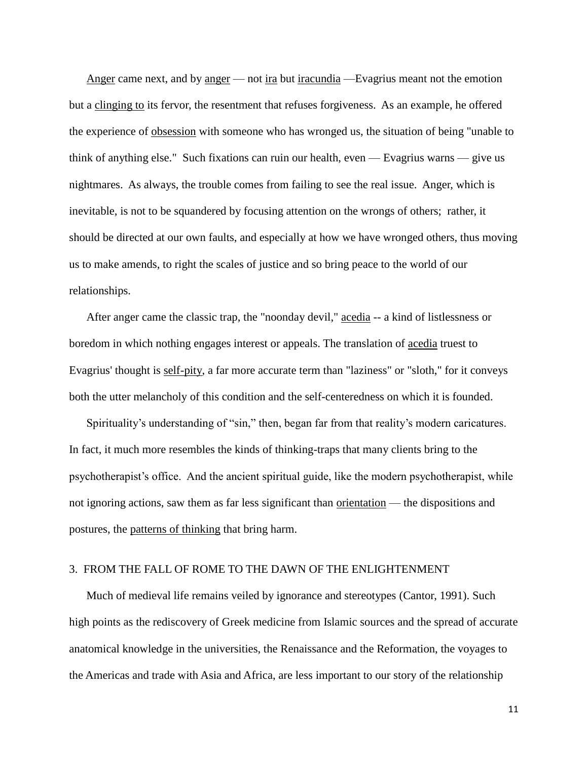Anger came next, and by anger — not ira but iracundia — Evagrius meant not the emotion but a clinging to its fervor, the resentment that refuses forgiveness. As an example, he offered the experience of obsession with someone who has wronged us, the situation of being "unable to think of anything else." Such fixations can ruin our health, even — Evagrius warns — give us nightmares. As always, the trouble comes from failing to see the real issue. Anger, which is inevitable, is not to be squandered by focusing attention on the wrongs of others; rather, it should be directed at our own faults, and especially at how we have wronged others, thus moving us to make amends, to right the scales of justice and so bring peace to the world of our relationships.

After anger came the classic trap, the "noonday devil," acedia -- a kind of listlessness or boredom in which nothing engages interest or appeals. The translation of acedia truest to Evagrius' thought is self-pity, a far more accurate term than "laziness" or "sloth," for it conveys both the utter melancholy of this condition and the self-centeredness on which it is founded.

Spirituality's understanding of "sin," then, began far from that reality's modern caricatures. In fact, it much more resembles the kinds of thinking-traps that many clients bring to the psychotherapist's office. And the ancient spiritual guide, like the modern psychotherapist, while not ignoring actions, saw them as far less significant than orientation — the dispositions and postures, the patterns of thinking that bring harm.

### 3. FROM THE FALL OF ROME TO THE DAWN OF THE ENLIGHTENMENT

Much of medieval life remains veiled by ignorance and stereotypes (Cantor, 1991). Such high points as the rediscovery of Greek medicine from Islamic sources and the spread of accurate anatomical knowledge in the universities, the Renaissance and the Reformation, the voyages to the Americas and trade with Asia and Africa, are less important to our story of the relationship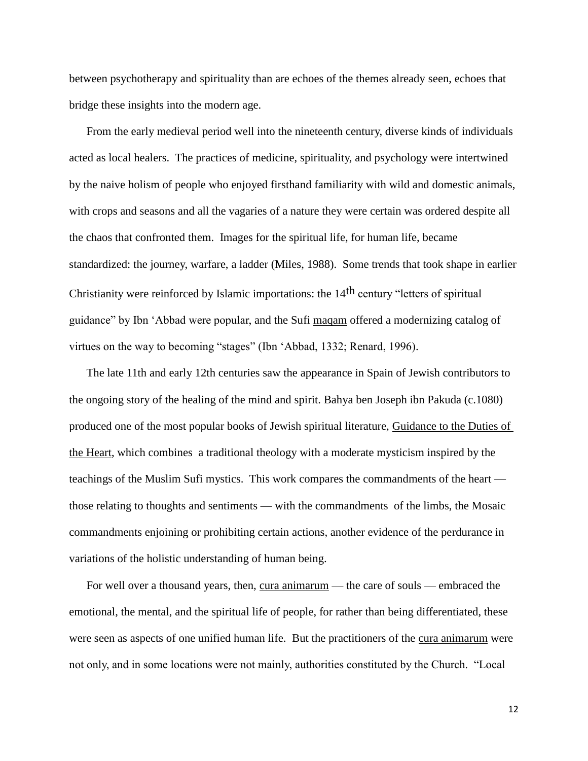between psychotherapy and spirituality than are echoes of the themes already seen, echoes that bridge these insights into the modern age.

From the early medieval period well into the nineteenth century, diverse kinds of individuals acted as local healers. The practices of medicine, spirituality, and psychology were intertwined by the naive holism of people who enjoyed firsthand familiarity with wild and domestic animals, with crops and seasons and all the vagaries of a nature they were certain was ordered despite all the chaos that confronted them. Images for the spiritual life, for human life, became standardized: the journey, warfare, a ladder (Miles, 1988). Some trends that took shape in earlier Christianity were reinforced by Islamic importations: the 14th century "letters of spiritual guidance" by Ibn 'Abbad were popular, and the Sufi maqam offered a modernizing catalog of virtues on the way to becoming "stages" (Ibn 'Abbad, 1332; Renard, 1996).

The late 11th and early 12th centuries saw the appearance in Spain of Jewish contributors to the ongoing story of the healing of the mind and spirit. Bahya ben Joseph ibn Pakuda (c.1080) produced one of the most popular books of Jewish spiritual literature, Guidance to the Duties of the Heart, which combines a traditional theology with a moderate mysticism inspired by the teachings of the Muslim Sufi mystics. This work compares the commandments of the heart those relating to thoughts and sentiments — with the commandments of the limbs, the Mosaic commandments enjoining or prohibiting certain actions, another evidence of the perdurance in variations of the holistic understanding of human being.

For well over a thousand years, then, cura animarum — the care of souls — embraced the emotional, the mental, and the spiritual life of people, for rather than being differentiated, these were seen as aspects of one unified human life. But the practitioners of the cura animarum were not only, and in some locations were not mainly, authorities constituted by the Church. "Local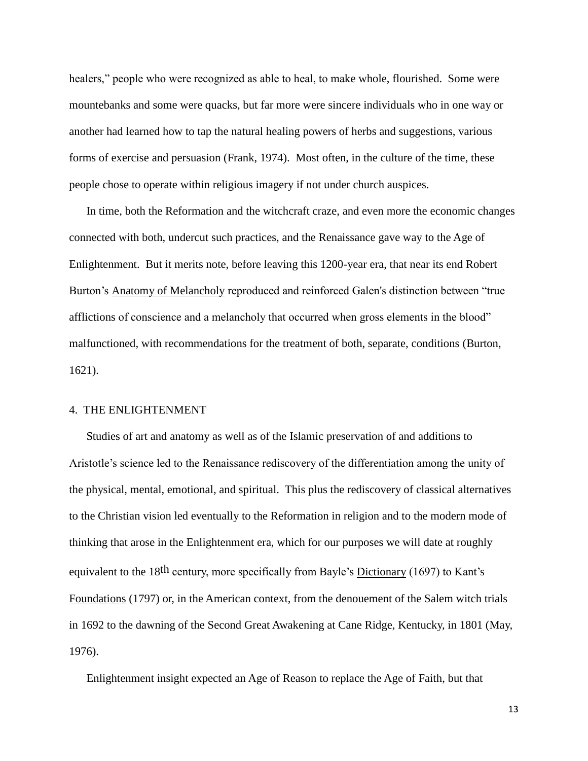healers," people who were recognized as able to heal, to make whole, flourished. Some were mountebanks and some were quacks, but far more were sincere individuals who in one way or another had learned how to tap the natural healing powers of herbs and suggestions, various forms of exercise and persuasion (Frank, 1974). Most often, in the culture of the time, these people chose to operate within religious imagery if not under church auspices.

In time, both the Reformation and the witchcraft craze, and even more the economic changes connected with both, undercut such practices, and the Renaissance gave way to the Age of Enlightenment. But it merits note, before leaving this 1200-year era, that near its end Robert Burton's Anatomy of Melancholy reproduced and reinforced Galen's distinction between "true afflictions of conscience and a melancholy that occurred when gross elements in the blood" malfunctioned, with recommendations for the treatment of both, separate, conditions (Burton, 1621).

## 4. THE ENLIGHTENMENT

Studies of art and anatomy as well as of the Islamic preservation of and additions to Aristotle's science led to the Renaissance rediscovery of the differentiation among the unity of the physical, mental, emotional, and spiritual. This plus the rediscovery of classical alternatives to the Christian vision led eventually to the Reformation in religion and to the modern mode of thinking that arose in the Enlightenment era, which for our purposes we will date at roughly equivalent to the 18<sup>th</sup> century, more specifically from Bayle's Dictionary (1697) to Kant's Foundations (1797) or, in the American context, from the denouement of the Salem witch trials in 1692 to the dawning of the Second Great Awakening at Cane Ridge, Kentucky, in 1801 (May, 1976).

Enlightenment insight expected an Age of Reason to replace the Age of Faith, but that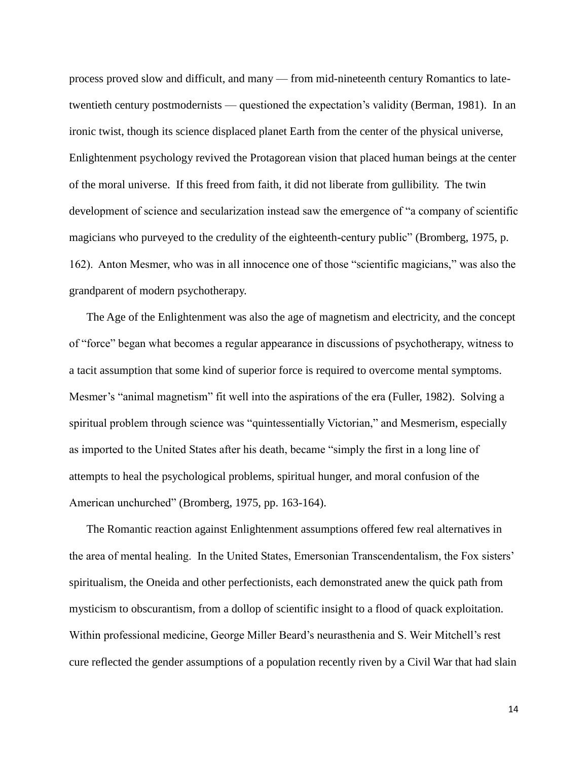process proved slow and difficult, and many — from mid-nineteenth century Romantics to latetwentieth century postmodernists — questioned the expectation's validity (Berman, 1981). In an ironic twist, though its science displaced planet Earth from the center of the physical universe, Enlightenment psychology revived the Protagorean vision that placed human beings at the center of the moral universe. If this freed from faith, it did not liberate from gullibility. The twin development of science and secularization instead saw the emergence of "a company of scientific magicians who purveyed to the credulity of the eighteenth-century public" (Bromberg, 1975, p. 162). Anton Mesmer, who was in all innocence one of those "scientific magicians," was also the grandparent of modern psychotherapy.

The Age of the Enlightenment was also the age of magnetism and electricity, and the concept of "force" began what becomes a regular appearance in discussions of psychotherapy, witness to a tacit assumption that some kind of superior force is required to overcome mental symptoms. Mesmer's "animal magnetism" fit well into the aspirations of the era (Fuller, 1982). Solving a spiritual problem through science was "quintessentially Victorian," and Mesmerism, especially as imported to the United States after his death, became "simply the first in a long line of attempts to heal the psychological problems, spiritual hunger, and moral confusion of the American unchurched" (Bromberg, 1975, pp. 163-164).

The Romantic reaction against Enlightenment assumptions offered few real alternatives in the area of mental healing. In the United States, Emersonian Transcendentalism, the Fox sisters' spiritualism, the Oneida and other perfectionists, each demonstrated anew the quick path from mysticism to obscurantism, from a dollop of scientific insight to a flood of quack exploitation. Within professional medicine, George Miller Beard's neurasthenia and S. Weir Mitchell's rest cure reflected the gender assumptions of a population recently riven by a Civil War that had slain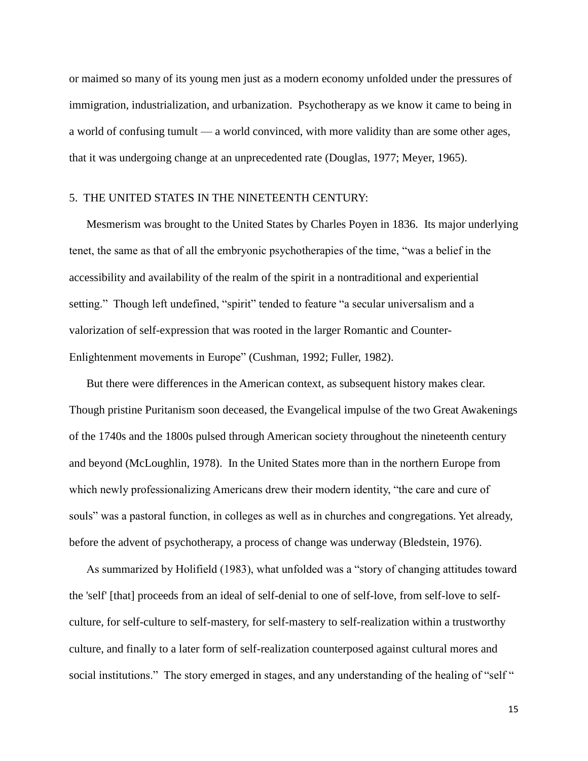or maimed so many of its young men just as a modern economy unfolded under the pressures of immigration, industrialization, and urbanization. Psychotherapy as we know it came to being in a world of confusing tumult — a world convinced, with more validity than are some other ages, that it was undergoing change at an unprecedented rate (Douglas, 1977; Meyer, 1965).

### 5. THE UNITED STATES IN THE NINETEENTH CENTURY:

Mesmerism was brought to the United States by Charles Poyen in 1836. Its major underlying tenet, the same as that of all the embryonic psychotherapies of the time, "was a belief in the accessibility and availability of the realm of the spirit in a nontraditional and experiential setting." Though left undefined, "spirit" tended to feature "a secular universalism and a valorization of self-expression that was rooted in the larger Romantic and Counter-Enlightenment movements in Europe" (Cushman, 1992; Fuller, 1982).

But there were differences in the American context, as subsequent history makes clear. Though pristine Puritanism soon deceased, the Evangelical impulse of the two Great Awakenings of the 1740s and the 1800s pulsed through American society throughout the nineteenth century and beyond (McLoughlin, 1978). In the United States more than in the northern Europe from which newly professionalizing Americans drew their modern identity, "the care and cure of souls" was a pastoral function, in colleges as well as in churches and congregations. Yet already, before the advent of psychotherapy, a process of change was underway (Bledstein, 1976).

As summarized by Holifield (1983), what unfolded was a "story of changing attitudes toward the 'self' [that] proceeds from an ideal of self-denial to one of self-love, from self-love to selfculture, for self-culture to self-mastery, for self-mastery to self-realization within a trustworthy culture, and finally to a later form of self-realization counterposed against cultural mores and social institutions." The story emerged in stages, and any understanding of the healing of "self"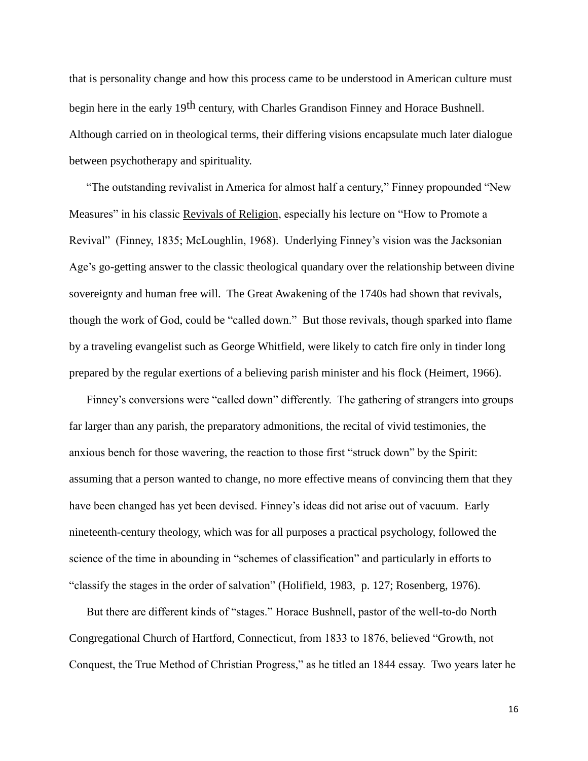that is personality change and how this process came to be understood in American culture must begin here in the early 19<sup>th</sup> century, with Charles Grandison Finney and Horace Bushnell. Although carried on in theological terms, their differing visions encapsulate much later dialogue between psychotherapy and spirituality.

"The outstanding revivalist in America for almost half a century," Finney propounded "New Measures" in his classic Revivals of Religion, especially his lecture on "How to Promote a Revival" (Finney, 1835; McLoughlin, 1968). Underlying Finney's vision was the Jacksonian Age's go-getting answer to the classic theological quandary over the relationship between divine sovereignty and human free will. The Great Awakening of the 1740s had shown that revivals, though the work of God, could be "called down." But those revivals, though sparked into flame by a traveling evangelist such as George Whitfield, were likely to catch fire only in tinder long prepared by the regular exertions of a believing parish minister and his flock (Heimert, 1966).

Finney's conversions were "called down" differently. The gathering of strangers into groups far larger than any parish, the preparatory admonitions, the recital of vivid testimonies, the anxious bench for those wavering, the reaction to those first "struck down" by the Spirit: assuming that a person wanted to change, no more effective means of convincing them that they have been changed has yet been devised. Finney's ideas did not arise out of vacuum. Early nineteenth-century theology, which was for all purposes a practical psychology, followed the science of the time in abounding in "schemes of classification" and particularly in efforts to "classify the stages in the order of salvation" (Holifield, 1983, p. 127; Rosenberg, 1976).

But there are different kinds of "stages." Horace Bushnell, pastor of the well-to-do North Congregational Church of Hartford, Connecticut, from 1833 to 1876, believed "Growth, not Conquest, the True Method of Christian Progress," as he titled an 1844 essay. Two years later he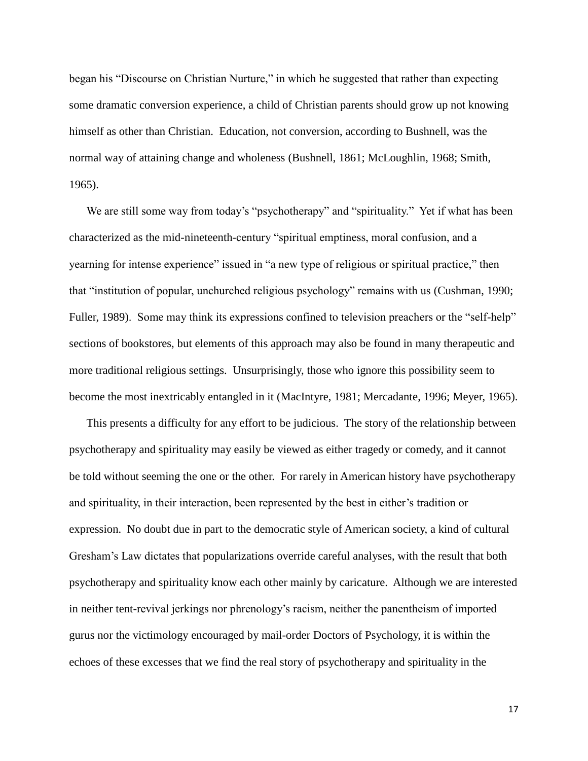began his "Discourse on Christian Nurture," in which he suggested that rather than expecting some dramatic conversion experience, a child of Christian parents should grow up not knowing himself as other than Christian. Education, not conversion, according to Bushnell, was the normal way of attaining change and wholeness (Bushnell, 1861; McLoughlin, 1968; Smith, 1965).

We are still some way from today's "psychotherapy" and "spirituality." Yet if what has been characterized as the mid-nineteenth-century "spiritual emptiness, moral confusion, and a yearning for intense experience" issued in "a new type of religious or spiritual practice," then that "institution of popular, unchurched religious psychology" remains with us (Cushman, 1990; Fuller, 1989). Some may think its expressions confined to television preachers or the "self-help" sections of bookstores, but elements of this approach may also be found in many therapeutic and more traditional religious settings. Unsurprisingly, those who ignore this possibility seem to become the most inextricably entangled in it (MacIntyre, 1981; Mercadante, 1996; Meyer, 1965).

This presents a difficulty for any effort to be judicious. The story of the relationship between psychotherapy and spirituality may easily be viewed as either tragedy or comedy, and it cannot be told without seeming the one or the other. For rarely in American history have psychotherapy and spirituality, in their interaction, been represented by the best in either's tradition or expression. No doubt due in part to the democratic style of American society, a kind of cultural Gresham's Law dictates that popularizations override careful analyses, with the result that both psychotherapy and spirituality know each other mainly by caricature. Although we are interested in neither tent-revival jerkings nor phrenology's racism, neither the panentheism of imported gurus nor the victimology encouraged by mail-order Doctors of Psychology, it is within the echoes of these excesses that we find the real story of psychotherapy and spirituality in the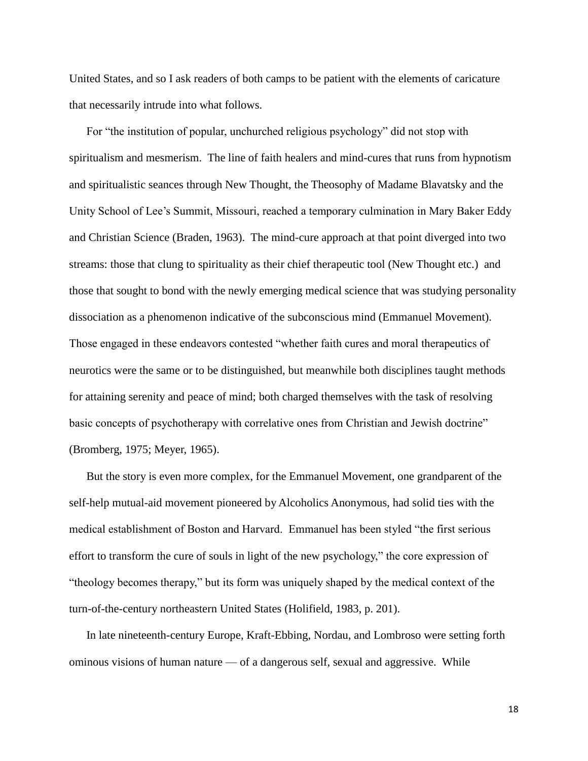United States, and so I ask readers of both camps to be patient with the elements of caricature that necessarily intrude into what follows.

For "the institution of popular, unchurched religious psychology" did not stop with spiritualism and mesmerism. The line of faith healers and mind-cures that runs from hypnotism and spiritualistic seances through New Thought, the Theosophy of Madame Blavatsky and the Unity School of Lee's Summit, Missouri, reached a temporary culmination in Mary Baker Eddy and Christian Science (Braden, 1963). The mind-cure approach at that point diverged into two streams: those that clung to spirituality as their chief therapeutic tool (New Thought etc.) and those that sought to bond with the newly emerging medical science that was studying personality dissociation as a phenomenon indicative of the subconscious mind (Emmanuel Movement). Those engaged in these endeavors contested "whether faith cures and moral therapeutics of neurotics were the same or to be distinguished, but meanwhile both disciplines taught methods for attaining serenity and peace of mind; both charged themselves with the task of resolving basic concepts of psychotherapy with correlative ones from Christian and Jewish doctrine" (Bromberg, 1975; Meyer, 1965).

But the story is even more complex, for the Emmanuel Movement, one grandparent of the self-help mutual-aid movement pioneered by Alcoholics Anonymous, had solid ties with the medical establishment of Boston and Harvard. Emmanuel has been styled "the first serious effort to transform the cure of souls in light of the new psychology," the core expression of "theology becomes therapy," but its form was uniquely shaped by the medical context of the turn-of-the-century northeastern United States (Holifield, 1983, p. 201).

In late nineteenth-century Europe, Kraft-Ebbing, Nordau, and Lombroso were setting forth ominous visions of human nature — of a dangerous self, sexual and aggressive. While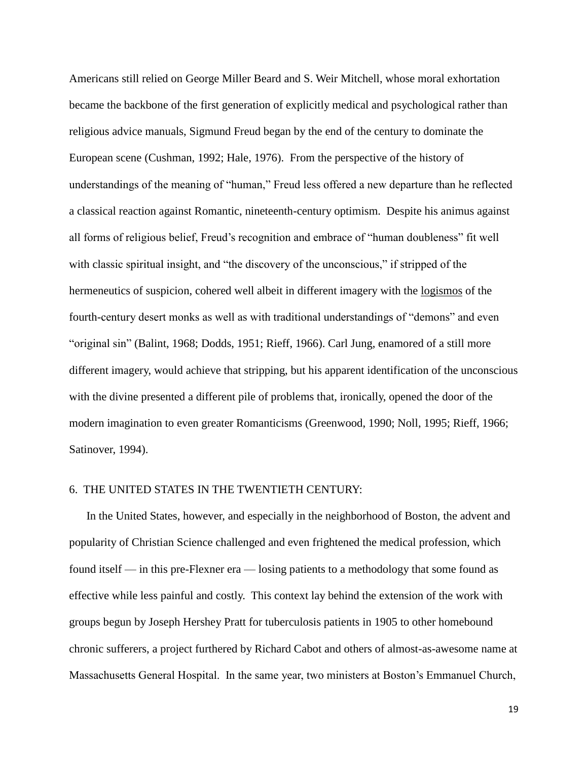Americans still relied on George Miller Beard and S. Weir Mitchell, whose moral exhortation became the backbone of the first generation of explicitly medical and psychological rather than religious advice manuals, Sigmund Freud began by the end of the century to dominate the European scene (Cushman, 1992; Hale, 1976). From the perspective of the history of understandings of the meaning of "human," Freud less offered a new departure than he reflected a classical reaction against Romantic, nineteenth-century optimism. Despite his animus against all forms of religious belief, Freud's recognition and embrace of "human doubleness" fit well with classic spiritual insight, and "the discovery of the unconscious," if stripped of the hermeneutics of suspicion, cohered well albeit in different imagery with the logismos of the fourth-century desert monks as well as with traditional understandings of "demons" and even "original sin" (Balint, 1968; Dodds, 1951; Rieff, 1966). Carl Jung, enamored of a still more different imagery, would achieve that stripping, but his apparent identification of the unconscious with the divine presented a different pile of problems that, ironically, opened the door of the modern imagination to even greater Romanticisms (Greenwood, 1990; Noll, 1995; Rieff, 1966; Satinover, 1994).

## 6. THE UNITED STATES IN THE TWENTIETH CENTURY:

In the United States, however, and especially in the neighborhood of Boston, the advent and popularity of Christian Science challenged and even frightened the medical profession, which found itself — in this pre-Flexner era — losing patients to a methodology that some found as effective while less painful and costly. This context lay behind the extension of the work with groups begun by Joseph Hershey Pratt for tuberculosis patients in 1905 to other homebound chronic sufferers, a project furthered by Richard Cabot and others of almost-as-awesome name at Massachusetts General Hospital. In the same year, two ministers at Boston's Emmanuel Church,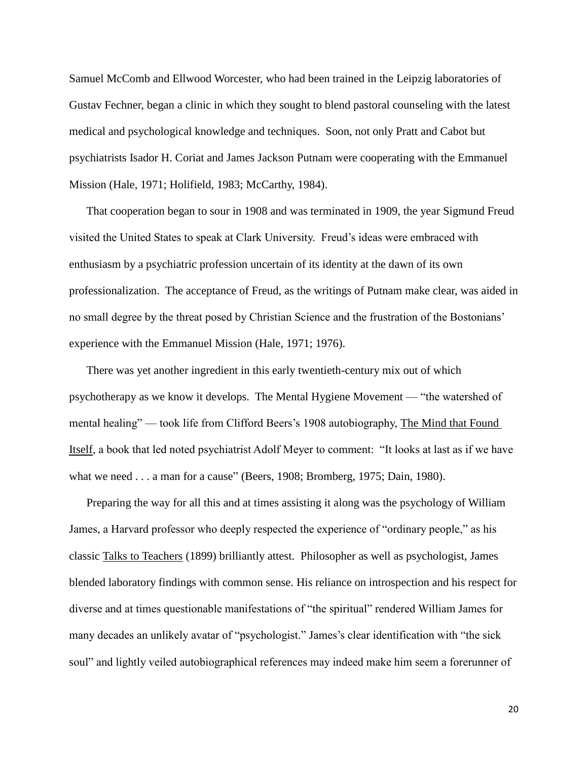Samuel McComb and Ellwood Worcester, who had been trained in the Leipzig laboratories of Gustav Fechner, began a clinic in which they sought to blend pastoral counseling with the latest medical and psychological knowledge and techniques. Soon, not only Pratt and Cabot but psychiatrists Isador H. Coriat and James Jackson Putnam were cooperating with the Emmanuel Mission (Hale, 1971; Holifield, 1983; McCarthy, 1984).

That cooperation began to sour in 1908 and was terminated in 1909, the year Sigmund Freud visited the United States to speak at Clark University. Freud's ideas were embraced with enthusiasm by a psychiatric profession uncertain of its identity at the dawn of its own professionalization. The acceptance of Freud, as the writings of Putnam make clear, was aided in no small degree by the threat posed by Christian Science and the frustration of the Bostonians' experience with the Emmanuel Mission (Hale, 1971; 1976).

There was yet another ingredient in this early twentieth-century mix out of which psychotherapy as we know it develops. The Mental Hygiene Movement — "the watershed of mental healing" — took life from Clifford Beers's 1908 autobiography, The Mind that Found Itself, a book that led noted psychiatrist Adolf Meyer to comment: "It looks at last as if we have what we need . . . a man for a cause" (Beers, 1908; Bromberg, 1975; Dain, 1980).

Preparing the way for all this and at times assisting it along was the psychology of William James, a Harvard professor who deeply respected the experience of "ordinary people," as his classic Talks to Teachers (1899) brilliantly attest. Philosopher as well as psychologist, James blended laboratory findings with common sense. His reliance on introspection and his respect for diverse and at times questionable manifestations of "the spiritual" rendered William James for many decades an unlikely avatar of "psychologist." James's clear identification with "the sick soul" and lightly veiled autobiographical references may indeed make him seem a forerunner of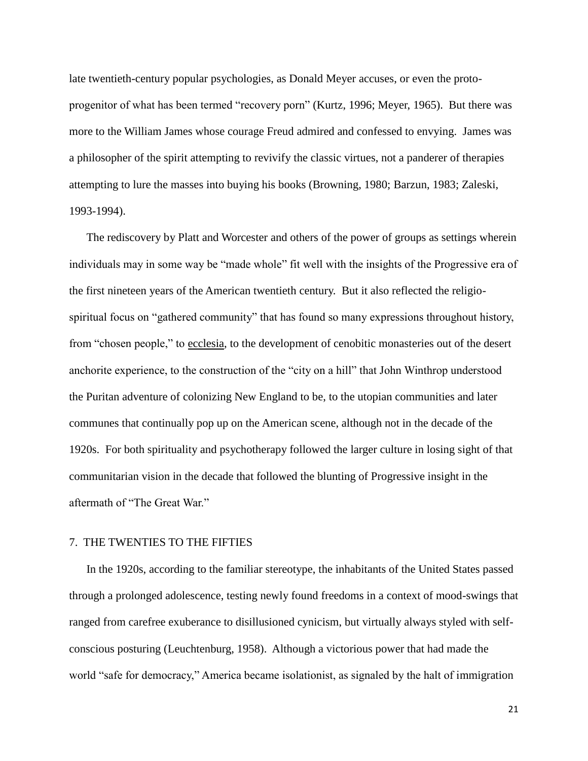late twentieth-century popular psychologies, as Donald Meyer accuses, or even the protoprogenitor of what has been termed "recovery porn" (Kurtz, 1996; Meyer, 1965). But there was more to the William James whose courage Freud admired and confessed to envying. James was a philosopher of the spirit attempting to revivify the classic virtues, not a panderer of therapies attempting to lure the masses into buying his books (Browning, 1980; Barzun, 1983; Zaleski, 1993-1994).

The rediscovery by Platt and Worcester and others of the power of groups as settings wherein individuals may in some way be "made whole" fit well with the insights of the Progressive era of the first nineteen years of the American twentieth century. But it also reflected the religiospiritual focus on "gathered community" that has found so many expressions throughout history, from "chosen people," to ecclesia, to the development of cenobitic monasteries out of the desert anchorite experience, to the construction of the "city on a hill" that John Winthrop understood the Puritan adventure of colonizing New England to be, to the utopian communities and later communes that continually pop up on the American scene, although not in the decade of the 1920s. For both spirituality and psychotherapy followed the larger culture in losing sight of that communitarian vision in the decade that followed the blunting of Progressive insight in the aftermath of "The Great War."

### 7. THE TWENTIES TO THE FIFTIES

In the 1920s, according to the familiar stereotype, the inhabitants of the United States passed through a prolonged adolescence, testing newly found freedoms in a context of mood-swings that ranged from carefree exuberance to disillusioned cynicism, but virtually always styled with selfconscious posturing (Leuchtenburg, 1958). Although a victorious power that had made the world "safe for democracy," America became isolationist, as signaled by the halt of immigration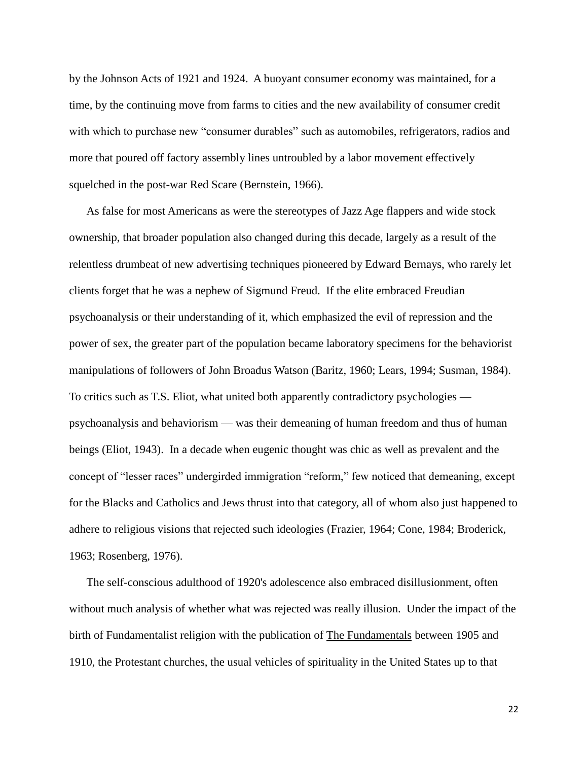by the Johnson Acts of 1921 and 1924. A buoyant consumer economy was maintained, for a time, by the continuing move from farms to cities and the new availability of consumer credit with which to purchase new "consumer durables" such as automobiles, refrigerators, radios and more that poured off factory assembly lines untroubled by a labor movement effectively squelched in the post-war Red Scare (Bernstein, 1966).

As false for most Americans as were the stereotypes of Jazz Age flappers and wide stock ownership, that broader population also changed during this decade, largely as a result of the relentless drumbeat of new advertising techniques pioneered by Edward Bernays, who rarely let clients forget that he was a nephew of Sigmund Freud. If the elite embraced Freudian psychoanalysis or their understanding of it, which emphasized the evil of repression and the power of sex, the greater part of the population became laboratory specimens for the behaviorist manipulations of followers of John Broadus Watson (Baritz, 1960; Lears, 1994; Susman, 1984). To critics such as T.S. Eliot, what united both apparently contradictory psychologies psychoanalysis and behaviorism — was their demeaning of human freedom and thus of human beings (Eliot, 1943). In a decade when eugenic thought was chic as well as prevalent and the concept of "lesser races" undergirded immigration "reform," few noticed that demeaning, except for the Blacks and Catholics and Jews thrust into that category, all of whom also just happened to adhere to religious visions that rejected such ideologies (Frazier, 1964; Cone, 1984; Broderick, 1963; Rosenberg, 1976).

The self-conscious adulthood of 1920's adolescence also embraced disillusionment, often without much analysis of whether what was rejected was really illusion. Under the impact of the birth of Fundamentalist religion with the publication of The Fundamentals between 1905 and 1910, the Protestant churches, the usual vehicles of spirituality in the United States up to that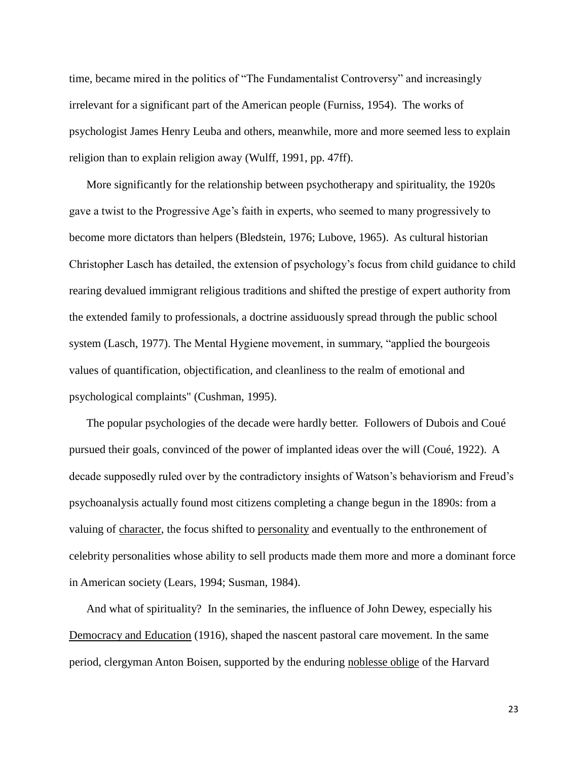time, became mired in the politics of "The Fundamentalist Controversy" and increasingly irrelevant for a significant part of the American people (Furniss, 1954). The works of psychologist James Henry Leuba and others, meanwhile, more and more seemed less to explain religion than to explain religion away (Wulff, 1991, pp. 47ff).

More significantly for the relationship between psychotherapy and spirituality, the 1920s gave a twist to the Progressive Age's faith in experts, who seemed to many progressively to become more dictators than helpers (Bledstein, 1976; Lubove, 1965). As cultural historian Christopher Lasch has detailed, the extension of psychology's focus from child guidance to child rearing devalued immigrant religious traditions and shifted the prestige of expert authority from the extended family to professionals, a doctrine assiduously spread through the public school system (Lasch, 1977). The Mental Hygiene movement, in summary, "applied the bourgeois values of quantification, objectification, and cleanliness to the realm of emotional and psychological complaints" (Cushman, 1995).

The popular psychologies of the decade were hardly better. Followers of Dubois and Coué pursued their goals, convinced of the power of implanted ideas over the will (Coué, 1922). A decade supposedly ruled over by the contradictory insights of Watson's behaviorism and Freud's psychoanalysis actually found most citizens completing a change begun in the 1890s: from a valuing of character, the focus shifted to personality and eventually to the enthronement of celebrity personalities whose ability to sell products made them more and more a dominant force in American society (Lears, 1994; Susman, 1984).

And what of spirituality? In the seminaries, the influence of John Dewey, especially his Democracy and Education (1916), shaped the nascent pastoral care movement. In the same period, clergyman Anton Boisen, supported by the enduring noblesse oblige of the Harvard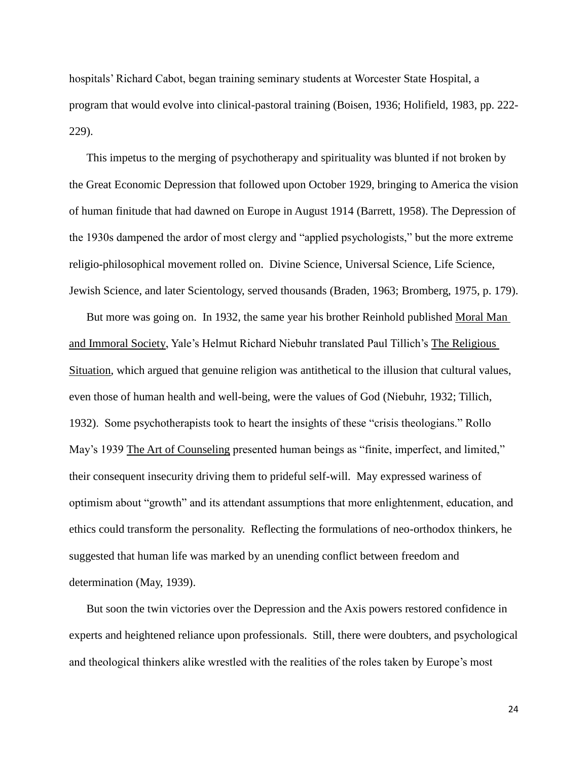hospitals' Richard Cabot, began training seminary students at Worcester State Hospital, a program that would evolve into clinical-pastoral training (Boisen, 1936; Holifield, 1983, pp. 222- 229).

This impetus to the merging of psychotherapy and spirituality was blunted if not broken by the Great Economic Depression that followed upon October 1929, bringing to America the vision of human finitude that had dawned on Europe in August 1914 (Barrett, 1958). The Depression of the 1930s dampened the ardor of most clergy and "applied psychologists," but the more extreme religio-philosophical movement rolled on. Divine Science, Universal Science, Life Science, Jewish Science, and later Scientology, served thousands (Braden, 1963; Bromberg, 1975, p. 179).

But more was going on. In 1932, the same year his brother Reinhold published Moral Man and Immoral Society, Yale's Helmut Richard Niebuhr translated Paul Tillich's The Religious Situation, which argued that genuine religion was antithetical to the illusion that cultural values, even those of human health and well-being, were the values of God (Niebuhr, 1932; Tillich, 1932). Some psychotherapists took to heart the insights of these "crisis theologians." Rollo May's 1939 The Art of Counseling presented human beings as "finite, imperfect, and limited," their consequent insecurity driving them to prideful self-will. May expressed wariness of optimism about "growth" and its attendant assumptions that more enlightenment, education, and ethics could transform the personality. Reflecting the formulations of neo-orthodox thinkers, he suggested that human life was marked by an unending conflict between freedom and determination (May, 1939).

But soon the twin victories over the Depression and the Axis powers restored confidence in experts and heightened reliance upon professionals. Still, there were doubters, and psychological and theological thinkers alike wrestled with the realities of the roles taken by Europe's most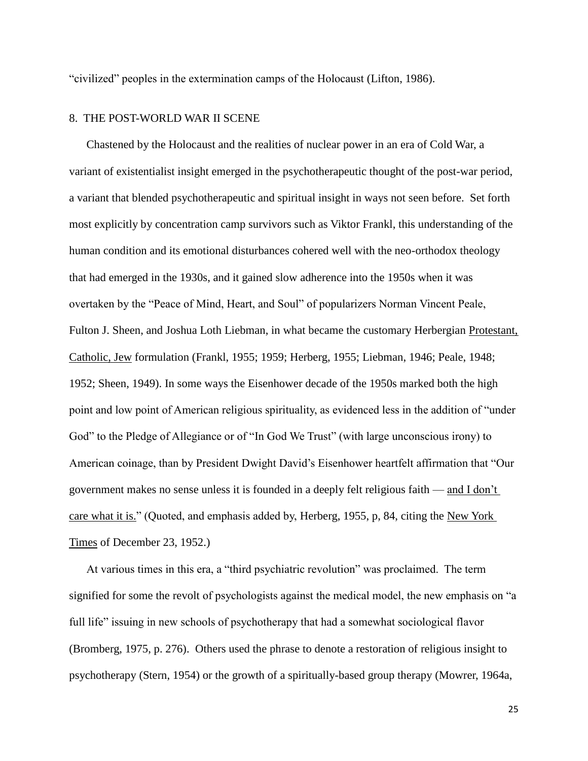"civilized" peoples in the extermination camps of the Holocaust (Lifton, 1986).

# 8. THE POST-WORLD WAR II SCENE

Chastened by the Holocaust and the realities of nuclear power in an era of Cold War, a variant of existentialist insight emerged in the psychotherapeutic thought of the post-war period, a variant that blended psychotherapeutic and spiritual insight in ways not seen before. Set forth most explicitly by concentration camp survivors such as Viktor Frankl, this understanding of the human condition and its emotional disturbances cohered well with the neo-orthodox theology that had emerged in the 1930s, and it gained slow adherence into the 1950s when it was overtaken by the "Peace of Mind, Heart, and Soul" of popularizers Norman Vincent Peale, Fulton J. Sheen, and Joshua Loth Liebman, in what became the customary Herbergian Protestant, Catholic, Jew formulation (Frankl, 1955; 1959; Herberg, 1955; Liebman, 1946; Peale, 1948; 1952; Sheen, 1949). In some ways the Eisenhower decade of the 1950s marked both the high point and low point of American religious spirituality, as evidenced less in the addition of "under God" to the Pledge of Allegiance or of "In God We Trust" (with large unconscious irony) to American coinage, than by President Dwight David's Eisenhower heartfelt affirmation that "Our government makes no sense unless it is founded in a deeply felt religious faith — and I don't care what it is." (Quoted, and emphasis added by, Herberg, 1955, p, 84, citing the New York Times of December 23, 1952.)

At various times in this era, a "third psychiatric revolution" was proclaimed. The term signified for some the revolt of psychologists against the medical model, the new emphasis on "a full life" issuing in new schools of psychotherapy that had a somewhat sociological flavor (Bromberg, 1975, p. 276). Others used the phrase to denote a restoration of religious insight to psychotherapy (Stern, 1954) or the growth of a spiritually-based group therapy (Mowrer, 1964a,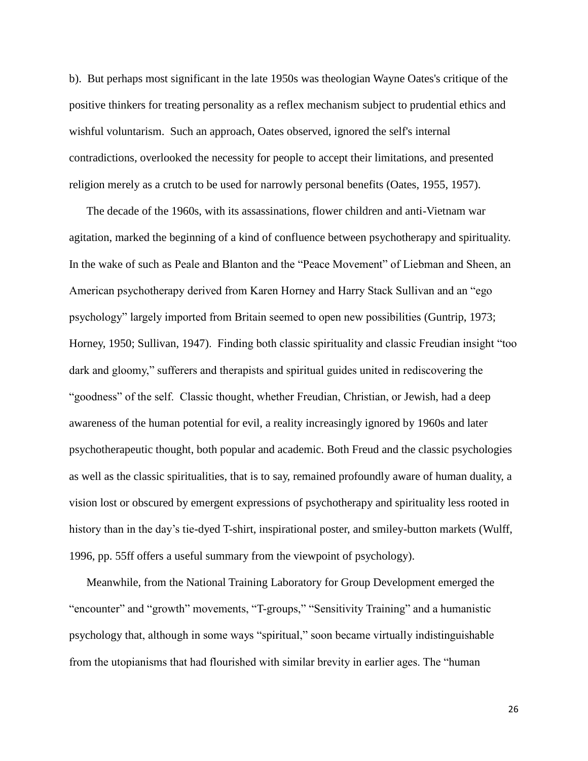b). But perhaps most significant in the late 1950s was theologian Wayne Oates's critique of the positive thinkers for treating personality as a reflex mechanism subject to prudential ethics and wishful voluntarism. Such an approach, Oates observed, ignored the self's internal contradictions, overlooked the necessity for people to accept their limitations, and presented religion merely as a crutch to be used for narrowly personal benefits (Oates, 1955, 1957).

The decade of the 1960s, with its assassinations, flower children and anti-Vietnam war agitation, marked the beginning of a kind of confluence between psychotherapy and spirituality. In the wake of such as Peale and Blanton and the "Peace Movement" of Liebman and Sheen, an American psychotherapy derived from Karen Horney and Harry Stack Sullivan and an "ego psychology" largely imported from Britain seemed to open new possibilities (Guntrip, 1973; Horney, 1950; Sullivan, 1947). Finding both classic spirituality and classic Freudian insight "too dark and gloomy," sufferers and therapists and spiritual guides united in rediscovering the "goodness" of the self. Classic thought, whether Freudian, Christian, or Jewish, had a deep awareness of the human potential for evil, a reality increasingly ignored by 1960s and later psychotherapeutic thought, both popular and academic. Both Freud and the classic psychologies as well as the classic spiritualities, that is to say, remained profoundly aware of human duality, a vision lost or obscured by emergent expressions of psychotherapy and spirituality less rooted in history than in the day's tie-dyed T-shirt, inspirational poster, and smiley-button markets (Wulff, 1996, pp. 55ff offers a useful summary from the viewpoint of psychology).

Meanwhile, from the National Training Laboratory for Group Development emerged the "encounter" and "growth" movements, "T-groups," "Sensitivity Training" and a humanistic psychology that, although in some ways "spiritual," soon became virtually indistinguishable from the utopianisms that had flourished with similar brevity in earlier ages. The "human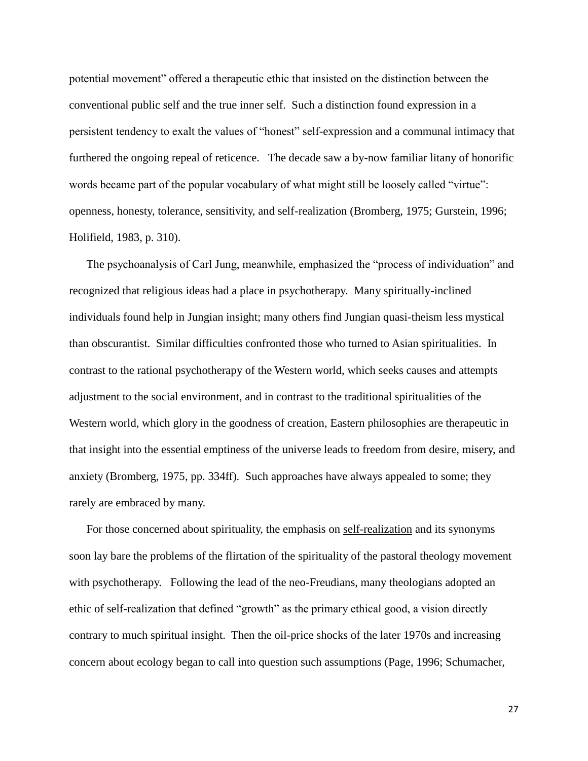potential movement" offered a therapeutic ethic that insisted on the distinction between the conventional public self and the true inner self. Such a distinction found expression in a persistent tendency to exalt the values of "honest" self-expression and a communal intimacy that furthered the ongoing repeal of reticence. The decade saw a by-now familiar litany of honorific words became part of the popular vocabulary of what might still be loosely called "virtue": openness, honesty, tolerance, sensitivity, and self-realization (Bromberg, 1975; Gurstein, 1996; Holifield, 1983, p. 310).

The psychoanalysis of Carl Jung, meanwhile, emphasized the "process of individuation" and recognized that religious ideas had a place in psychotherapy. Many spiritually-inclined individuals found help in Jungian insight; many others find Jungian quasi-theism less mystical than obscurantist. Similar difficulties confronted those who turned to Asian spiritualities. In contrast to the rational psychotherapy of the Western world, which seeks causes and attempts adjustment to the social environment, and in contrast to the traditional spiritualities of the Western world, which glory in the goodness of creation, Eastern philosophies are therapeutic in that insight into the essential emptiness of the universe leads to freedom from desire, misery, and anxiety (Bromberg, 1975, pp. 334ff). Such approaches have always appealed to some; they rarely are embraced by many.

For those concerned about spirituality, the emphasis on self-realization and its synonyms soon lay bare the problems of the flirtation of the spirituality of the pastoral theology movement with psychotherapy. Following the lead of the neo-Freudians, many theologians adopted an ethic of self-realization that defined "growth" as the primary ethical good, a vision directly contrary to much spiritual insight. Then the oil-price shocks of the later 1970s and increasing concern about ecology began to call into question such assumptions (Page, 1996; Schumacher,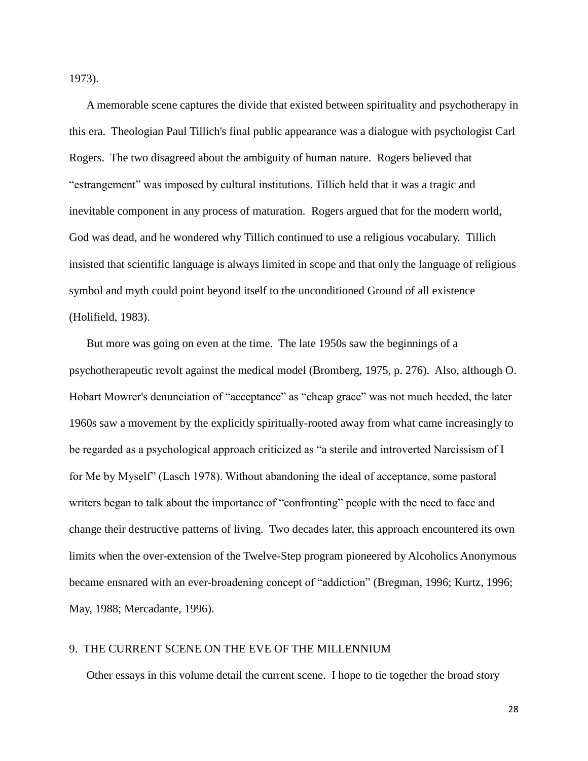1973).

A memorable scene captures the divide that existed between spirituality and psychotherapy in this era. Theologian Paul Tillich's final public appearance was a dialogue with psychologist Carl Rogers. The two disagreed about the ambiguity of human nature. Rogers believed that "estrangement" was imposed by cultural institutions. Tillich held that it was a tragic and inevitable component in any process of maturation. Rogers argued that for the modern world, God was dead, and he wondered why Tillich continued to use a religious vocabulary. Tillich insisted that scientific language is always limited in scope and that only the language of religious symbol and myth could point beyond itself to the unconditioned Ground of all existence (Holifield, 1983).

But more was going on even at the time. The late 1950s saw the beginnings of a psychotherapeutic revolt against the medical model (Bromberg, 1975, p. 276). Also, although O. Hobart Mowrer's denunciation of "acceptance" as "cheap grace" was not much heeded, the later 1960s saw a movement by the explicitly spiritually-rooted away from what came increasingly to be regarded as a psychological approach criticized as "a sterile and introverted Narcissism of I for Me by Myself" (Lasch 1978). Without abandoning the ideal of acceptance, some pastoral writers began to talk about the importance of "confronting" people with the need to face and change their destructive patterns of living. Two decades later, this approach encountered its own limits when the over-extension of the Twelve-Step program pioneered by Alcoholics Anonymous became ensnared with an ever-broadening concept of "addiction" (Bregman, 1996; Kurtz, 1996; May, 1988; Mercadante, 1996).

### 9. THE CURRENT SCENE ON THE EVE OF THE MILLENNIUM

Other essays in this volume detail the current scene. I hope to tie together the broad story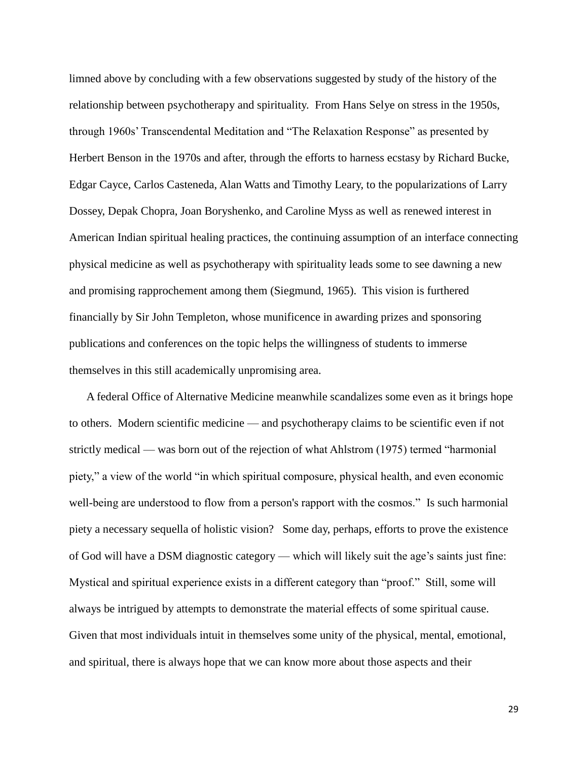limned above by concluding with a few observations suggested by study of the history of the relationship between psychotherapy and spirituality. From Hans Selye on stress in the 1950s, through 1960s' Transcendental Meditation and "The Relaxation Response" as presented by Herbert Benson in the 1970s and after, through the efforts to harness ecstasy by Richard Bucke, Edgar Cayce, Carlos Casteneda, Alan Watts and Timothy Leary, to the popularizations of Larry Dossey, Depak Chopra, Joan Boryshenko, and Caroline Myss as well as renewed interest in American Indian spiritual healing practices, the continuing assumption of an interface connecting physical medicine as well as psychotherapy with spirituality leads some to see dawning a new and promising rapprochement among them (Siegmund, 1965). This vision is furthered financially by Sir John Templeton, whose munificence in awarding prizes and sponsoring publications and conferences on the topic helps the willingness of students to immerse themselves in this still academically unpromising area.

A federal Office of Alternative Medicine meanwhile scandalizes some even as it brings hope to others. Modern scientific medicine — and psychotherapy claims to be scientific even if not strictly medical — was born out of the rejection of what Ahlstrom (1975) termed "harmonial piety," a view of the world "in which spiritual composure, physical health, and even economic well-being are understood to flow from a person's rapport with the cosmos." Is such harmonial piety a necessary sequella of holistic vision? Some day, perhaps, efforts to prove the existence of God will have a DSM diagnostic category — which will likely suit the age's saints just fine: Mystical and spiritual experience exists in a different category than "proof." Still, some will always be intrigued by attempts to demonstrate the material effects of some spiritual cause. Given that most individuals intuit in themselves some unity of the physical, mental, emotional, and spiritual, there is always hope that we can know more about those aspects and their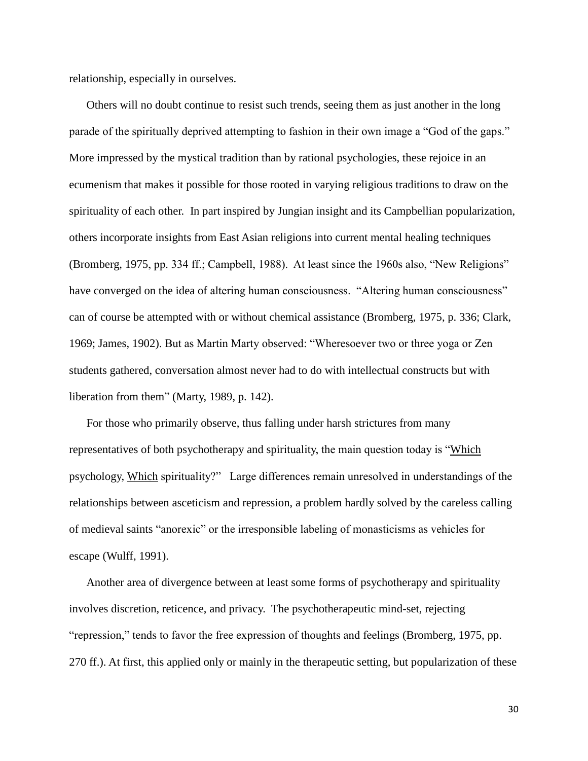relationship, especially in ourselves.

Others will no doubt continue to resist such trends, seeing them as just another in the long parade of the spiritually deprived attempting to fashion in their own image a "God of the gaps." More impressed by the mystical tradition than by rational psychologies, these rejoice in an ecumenism that makes it possible for those rooted in varying religious traditions to draw on the spirituality of each other. In part inspired by Jungian insight and its Campbellian popularization, others incorporate insights from East Asian religions into current mental healing techniques (Bromberg, 1975, pp. 334 ff.; Campbell, 1988). At least since the 1960s also, "New Religions" have converged on the idea of altering human consciousness. "Altering human consciousness" can of course be attempted with or without chemical assistance (Bromberg, 1975, p. 336; Clark, 1969; James, 1902). But as Martin Marty observed: "Wheresoever two or three yoga or Zen students gathered, conversation almost never had to do with intellectual constructs but with liberation from them" (Marty, 1989, p. 142).

For those who primarily observe, thus falling under harsh strictures from many representatives of both psychotherapy and spirituality, the main question today is "Which psychology, Which spirituality?" Large differences remain unresolved in understandings of the relationships between asceticism and repression, a problem hardly solved by the careless calling of medieval saints "anorexic" or the irresponsible labeling of monasticisms as vehicles for escape (Wulff, 1991).

Another area of divergence between at least some forms of psychotherapy and spirituality involves discretion, reticence, and privacy. The psychotherapeutic mind-set, rejecting "repression," tends to favor the free expression of thoughts and feelings (Bromberg, 1975, pp. 270 ff.). At first, this applied only or mainly in the therapeutic setting, but popularization of these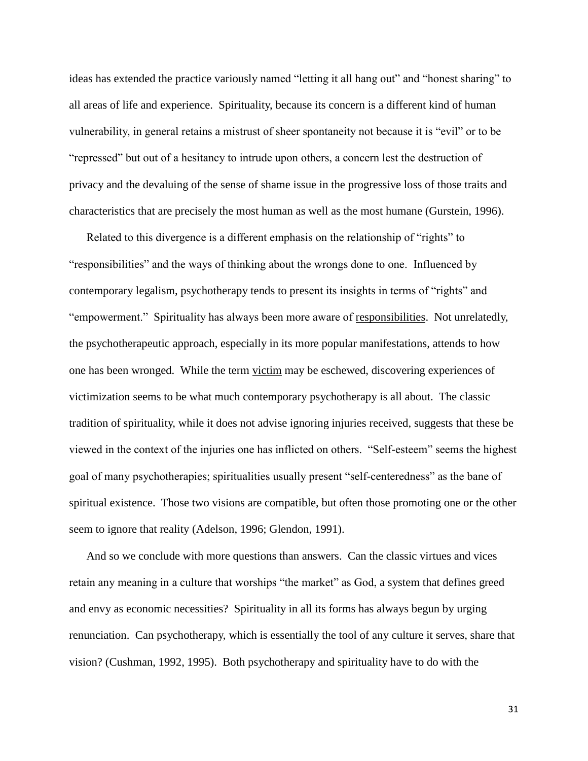ideas has extended the practice variously named "letting it all hang out" and "honest sharing" to all areas of life and experience. Spirituality, because its concern is a different kind of human vulnerability, in general retains a mistrust of sheer spontaneity not because it is "evil" or to be "repressed" but out of a hesitancy to intrude upon others, a concern lest the destruction of privacy and the devaluing of the sense of shame issue in the progressive loss of those traits and characteristics that are precisely the most human as well as the most humane (Gurstein, 1996).

Related to this divergence is a different emphasis on the relationship of "rights" to "responsibilities" and the ways of thinking about the wrongs done to one. Influenced by contemporary legalism, psychotherapy tends to present its insights in terms of "rights" and "empowerment." Spirituality has always been more aware of responsibilities. Not unrelatedly, the psychotherapeutic approach, especially in its more popular manifestations, attends to how one has been wronged. While the term victim may be eschewed, discovering experiences of victimization seems to be what much contemporary psychotherapy is all about. The classic tradition of spirituality, while it does not advise ignoring injuries received, suggests that these be viewed in the context of the injuries one has inflicted on others. "Self-esteem" seems the highest goal of many psychotherapies; spiritualities usually present "self-centeredness" as the bane of spiritual existence. Those two visions are compatible, but often those promoting one or the other seem to ignore that reality (Adelson, 1996; Glendon, 1991).

And so we conclude with more questions than answers. Can the classic virtues and vices retain any meaning in a culture that worships "the market" as God, a system that defines greed and envy as economic necessities? Spirituality in all its forms has always begun by urging renunciation. Can psychotherapy, which is essentially the tool of any culture it serves, share that vision? (Cushman, 1992, 1995). Both psychotherapy and spirituality have to do with the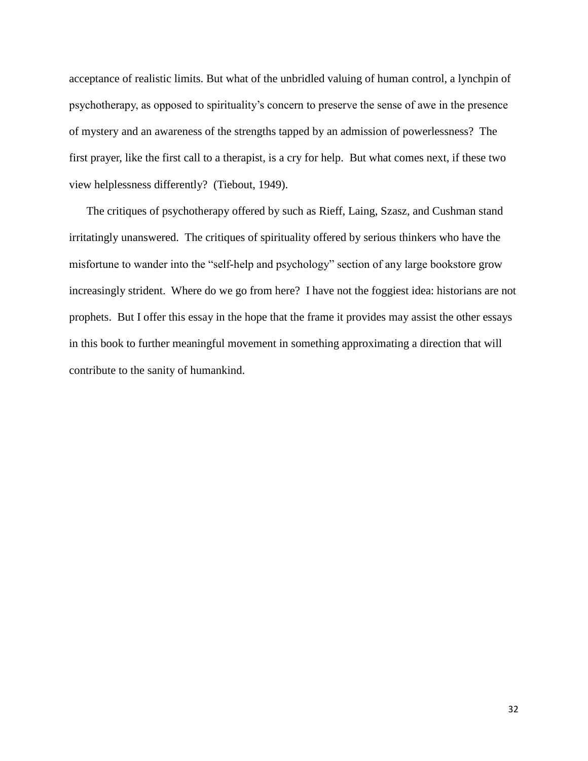acceptance of realistic limits. But what of the unbridled valuing of human control, a lynchpin of psychotherapy, as opposed to spirituality's concern to preserve the sense of awe in the presence of mystery and an awareness of the strengths tapped by an admission of powerlessness? The first prayer, like the first call to a therapist, is a cry for help. But what comes next, if these two view helplessness differently? (Tiebout, 1949).

The critiques of psychotherapy offered by such as Rieff, Laing, Szasz, and Cushman stand irritatingly unanswered. The critiques of spirituality offered by serious thinkers who have the misfortune to wander into the "self-help and psychology" section of any large bookstore grow increasingly strident. Where do we go from here? I have not the foggiest idea: historians are not prophets. But I offer this essay in the hope that the frame it provides may assist the other essays in this book to further meaningful movement in something approximating a direction that will contribute to the sanity of humankind.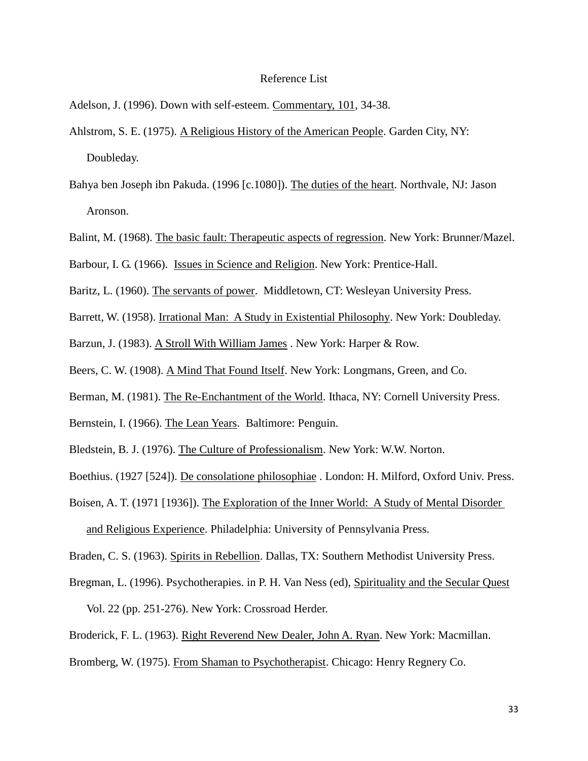#### Reference List

Adelson, J. (1996). Down with self-esteem. Commentary, 101, 34-38.

- Ahlstrom, S. E. (1975). A Religious History of the American People. Garden City, NY: Doubleday.
- Bahya ben Joseph ibn Pakuda. (1996 [c.1080]). The duties of the heart. Northvale, NJ: Jason Aronson.
- Balint, M. (1968). The basic fault: Therapeutic aspects of regression. New York: Brunner/Mazel.
- Barbour, I. G. (1966). Issues in Science and Religion. New York: Prentice-Hall.
- Baritz, L. (1960). The servants of power. Middletown, CT: Wesleyan University Press.
- Barrett, W. (1958). Irrational Man: A Study in Existential Philosophy. New York: Doubleday.
- Barzun, J. (1983). A Stroll With William James . New York: Harper & Row.
- Beers, C. W. (1908). A Mind That Found Itself. New York: Longmans, Green, and Co.
- Berman, M. (1981). The Re-Enchantment of the World. Ithaca, NY: Cornell University Press.
- Bernstein, I. (1966). The Lean Years. Baltimore: Penguin.
- Bledstein, B. J. (1976). The Culture of Professionalism. New York: W.W. Norton.
- Boethius. (1927 [524]). De consolatione philosophiae . London: H. Milford, Oxford Univ. Press.
- Boisen, A. T. (1971 [1936]). The Exploration of the Inner World: A Study of Mental Disorder and Religious Experience. Philadelphia: University of Pennsylvania Press.

Braden, C. S. (1963). Spirits in Rebellion. Dallas, TX: Southern Methodist University Press.

- Bregman, L. (1996). Psychotherapies. in P. H. Van Ness (ed), Spirituality and the Secular Quest Vol. 22 (pp. 251-276). New York: Crossroad Herder.
- Broderick, F. L. (1963). Right Reverend New Dealer, John A. Ryan. New York: Macmillan.

Bromberg, W. (1975). From Shaman to Psychotherapist. Chicago: Henry Regnery Co.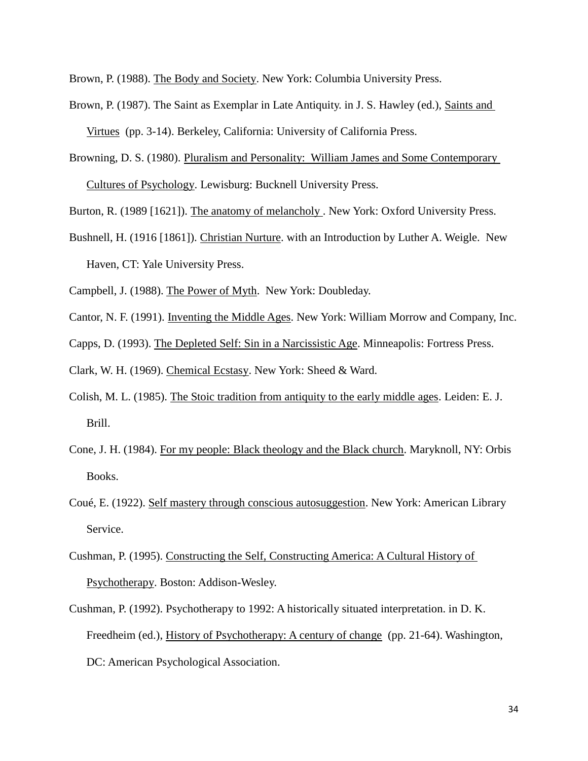Brown, P. (1988). The Body and Society. New York: Columbia University Press.

- Brown, P. (1987). The Saint as Exemplar in Late Antiquity. in J. S. Hawley (ed.), Saints and Virtues (pp. 3-14). Berkeley, California: University of California Press.
- Browning, D. S. (1980). Pluralism and Personality: William James and Some Contemporary Cultures of Psychology. Lewisburg: Bucknell University Press.

Burton, R. (1989 [1621]). The anatomy of melancholy . New York: Oxford University Press.

Bushnell, H. (1916 [1861]). Christian Nurture. with an Introduction by Luther A. Weigle. New Haven, CT: Yale University Press.

Campbell, J. (1988). The Power of Myth. New York: Doubleday.

Cantor, N. F. (1991). Inventing the Middle Ages. New York: William Morrow and Company, Inc.

Capps, D. (1993). The Depleted Self: Sin in a Narcissistic Age. Minneapolis: Fortress Press.

Clark, W. H. (1969). Chemical Ecstasy. New York: Sheed & Ward.

- Colish, M. L. (1985). The Stoic tradition from antiquity to the early middle ages. Leiden: E. J. Brill.
- Cone, J. H. (1984). For my people: Black theology and the Black church. Maryknoll, NY: Orbis Books.
- Coué, E. (1922). Self mastery through conscious autosuggestion. New York: American Library Service.
- Cushman, P. (1995). Constructing the Self, Constructing America: A Cultural History of Psychotherapy. Boston: Addison-Wesley.
- Cushman, P. (1992). Psychotherapy to 1992: A historically situated interpretation. in D. K. Freedheim (ed.), History of Psychotherapy: A century of change (pp. 21-64). Washington, DC: American Psychological Association.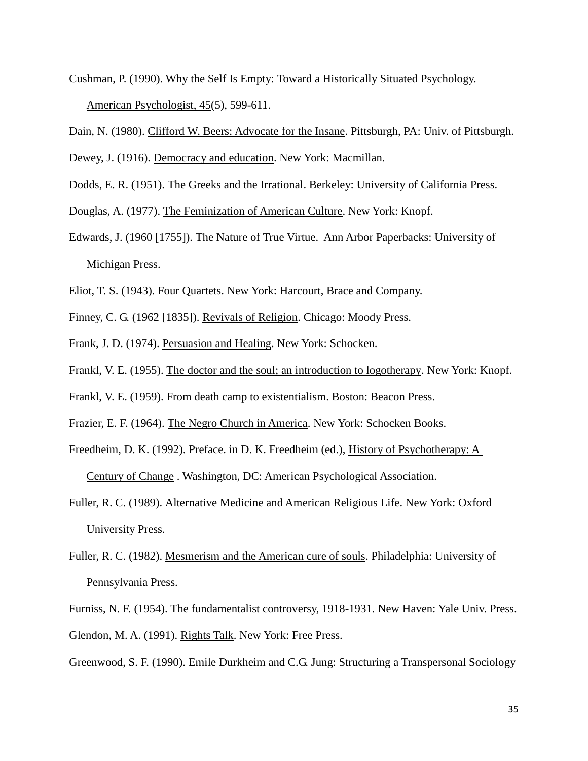- Cushman, P. (1990). Why the Self Is Empty: Toward a Historically Situated Psychology. American Psychologist, 45(5), 599-611.
- Dain, N. (1980). Clifford W. Beers: Advocate for the Insane. Pittsburgh, PA: Univ. of Pittsburgh.

Dewey, J. (1916). Democracy and education. New York: Macmillan.

Dodds, E. R. (1951). The Greeks and the Irrational. Berkeley: University of California Press.

Douglas, A. (1977). The Feminization of American Culture. New York: Knopf.

- Edwards, J. (1960 [1755]). The Nature of True Virtue. Ann Arbor Paperbacks: University of Michigan Press.
- Eliot, T. S. (1943). Four Quartets. New York: Harcourt, Brace and Company.
- Finney, C. G. (1962 [1835]). Revivals of Religion. Chicago: Moody Press.
- Frank, J. D. (1974). Persuasion and Healing. New York: Schocken.
- Frankl, V. E. (1955). The doctor and the soul; an introduction to logotherapy. New York: Knopf.
- Frankl, V. E. (1959). From death camp to existentialism. Boston: Beacon Press.
- Frazier, E. F. (1964). The Negro Church in America. New York: Schocken Books.
- Freedheim, D. K. (1992). Preface. in D. K. Freedheim (ed.), History of Psychotherapy: A Century of Change . Washington, DC: American Psychological Association.
- Fuller, R. C. (1989). Alternative Medicine and American Religious Life. New York: Oxford University Press.
- Fuller, R. C. (1982). Mesmerism and the American cure of souls. Philadelphia: University of Pennsylvania Press.
- Furniss, N. F. (1954). The fundamentalist controversy, 1918-1931. New Haven: Yale Univ. Press. Glendon, M. A. (1991). Rights Talk. New York: Free Press.

Greenwood, S. F. (1990). Emile Durkheim and C.G. Jung: Structuring a Transpersonal Sociology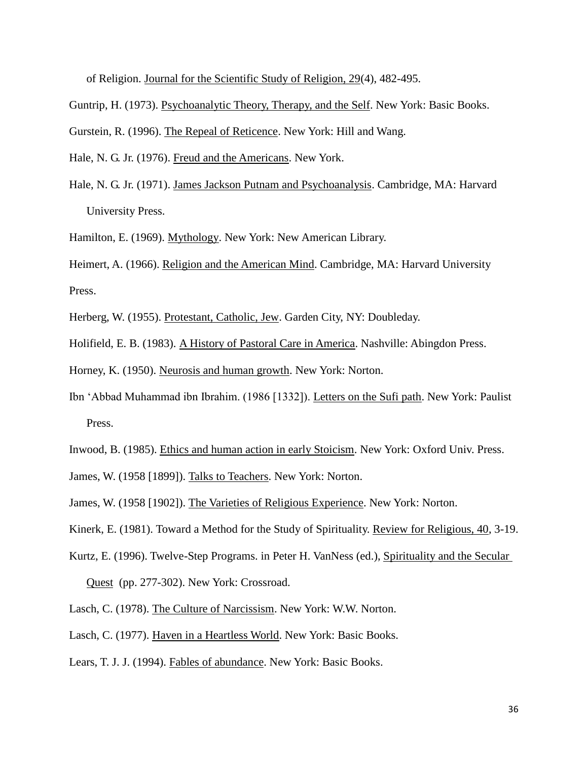of Religion. Journal for the Scientific Study of Religion, 29(4), 482-495.

Guntrip, H. (1973). Psychoanalytic Theory, Therapy, and the Self. New York: Basic Books.

Gurstein, R. (1996). The Repeal of Reticence. New York: Hill and Wang.

Hale, N. G. Jr. (1976). Freud and the Americans. New York.

Hale, N. G. Jr. (1971). James Jackson Putnam and Psychoanalysis. Cambridge, MA: Harvard University Press.

Hamilton, E. (1969). Mythology. New York: New American Library.

Heimert, A. (1966). Religion and the American Mind. Cambridge, MA: Harvard University Press.

Herberg, W. (1955). Protestant, Catholic, Jew. Garden City, NY: Doubleday.

Holifield, E. B. (1983). A History of Pastoral Care in America. Nashville: Abingdon Press.

Horney, K. (1950). Neurosis and human growth. New York: Norton.

Ibn 'Abbad Muhammad ibn Ibrahim. (1986 [1332]). Letters on the Sufi path. New York: Paulist Press.

Inwood, B. (1985). Ethics and human action in early Stoicism. New York: Oxford Univ. Press.

James, W. (1958 [1899]). Talks to Teachers. New York: Norton.

James, W. (1958 [1902]). The Varieties of Religious Experience. New York: Norton.

Kinerk, E. (1981). Toward a Method for the Study of Spirituality. Review for Religious, 40, 3-19.

- Kurtz, E. (1996). Twelve-Step Programs. in Peter H. VanNess (ed.), Spirituality and the Secular Quest (pp. 277-302). New York: Crossroad.
- Lasch, C. (1978). The Culture of Narcissism. New York: W.W. Norton.
- Lasch, C. (1977). Haven in a Heartless World. New York: Basic Books.

Lears, T. J. J. (1994). Fables of abundance. New York: Basic Books.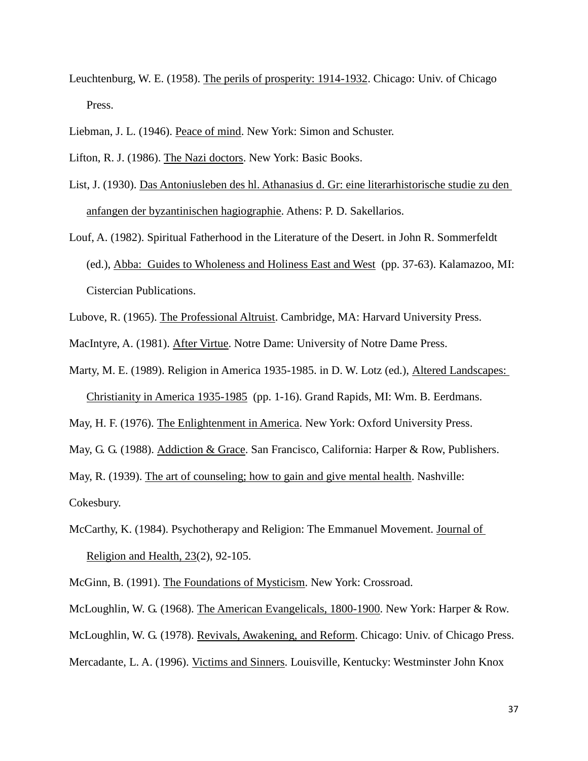- Leuchtenburg, W. E. (1958). The perils of prosperity: 1914-1932. Chicago: Univ. of Chicago Press.
- Liebman, J. L. (1946). Peace of mind. New York: Simon and Schuster.

- List, J. (1930). Das Antoniusleben des hl. Athanasius d. Gr: eine literarhistorische studie zu den anfangen der byzantinischen hagiographie. Athens: P. D. Sakellarios.
- Louf, A. (1982). Spiritual Fatherhood in the Literature of the Desert. in John R. Sommerfeldt (ed.), Abba: Guides to Wholeness and Holiness East and West (pp. 37-63). Kalamazoo, MI: Cistercian Publications.
- Lubove, R. (1965). The Professional Altruist. Cambridge, MA: Harvard University Press.
- MacIntyre, A. (1981). After Virtue. Notre Dame: University of Notre Dame Press.
- Marty, M. E. (1989). Religion in America 1935-1985. in D. W. Lotz (ed.), Altered Landscapes: Christianity in America 1935-1985 (pp. 1-16). Grand Rapids, MI: Wm. B. Eerdmans.
- May, H. F. (1976). The Enlightenment in America. New York: Oxford University Press.
- May, G. G. (1988). Addiction & Grace. San Francisco, California: Harper & Row, Publishers.

May, R. (1939). The art of counseling; how to gain and give mental health. Nashville:

Cokesbury.

- McCarthy, K. (1984). Psychotherapy and Religion: The Emmanuel Movement. Journal of Religion and Health, 23(2), 92-105.
- McGinn, B. (1991). The Foundations of Mysticism. New York: Crossroad.
- McLoughlin, W. G. (1968). The American Evangelicals, 1800-1900. New York: Harper & Row.

McLoughlin, W. G. (1978). Revivals, Awakening, and Reform. Chicago: Univ. of Chicago Press.

Mercadante, L. A. (1996). Victims and Sinners. Louisville, Kentucky: Westminster John Knox

Lifton, R. J. (1986). The Nazi doctors. New York: Basic Books.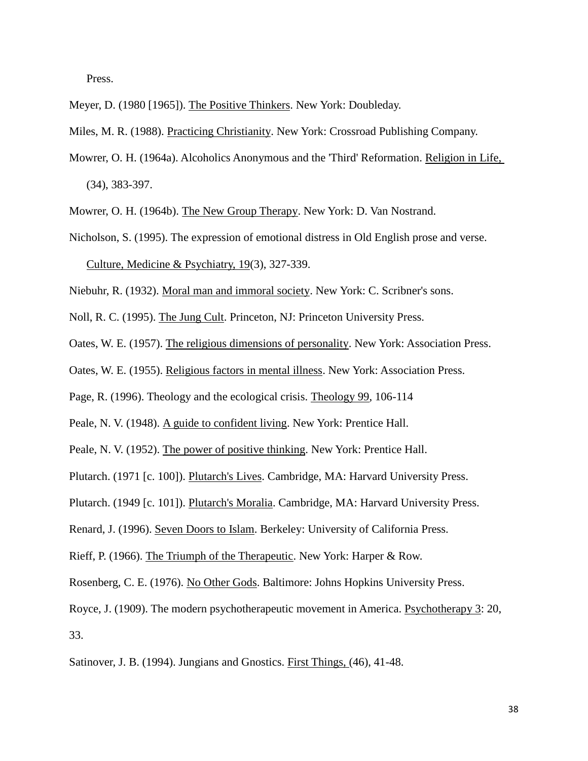Press.

Meyer, D. (1980 [1965]). The Positive Thinkers. New York: Doubleday.

Miles, M. R. (1988). Practicing Christianity. New York: Crossroad Publishing Company.

Mowrer, O. H. (1964a). Alcoholics Anonymous and the 'Third' Reformation. Religion in Life, (34), 383-397.

Mowrer, O. H. (1964b). The New Group Therapy. New York: D. Van Nostrand.

Nicholson, S. (1995). The expression of emotional distress in Old English prose and verse. Culture, Medicine & Psychiatry, 19(3), 327-339.

Niebuhr, R. (1932). Moral man and immoral society. New York: C. Scribner's sons.

Noll, R. C. (1995). The Jung Cult. Princeton, NJ: Princeton University Press.

Oates, W. E. (1957). The religious dimensions of personality. New York: Association Press.

Oates, W. E. (1955). Religious factors in mental illness. New York: Association Press.

Page, R. (1996). Theology and the ecological crisis. Theology 99, 106-114

Peale, N. V. (1948). A guide to confident living. New York: Prentice Hall.

Peale, N. V. (1952). The power of positive thinking. New York: Prentice Hall.

Plutarch. (1971 [c. 100]). Plutarch's Lives. Cambridge, MA: Harvard University Press.

Plutarch. (1949 [c. 101]). Plutarch's Moralia. Cambridge, MA: Harvard University Press.

Renard, J. (1996). Seven Doors to Islam. Berkeley: University of California Press.

Rieff, P. (1966). The Triumph of the Therapeutic. New York: Harper & Row.

Rosenberg, C. E. (1976). No Other Gods. Baltimore: Johns Hopkins University Press.

Royce, J. (1909). The modern psychotherapeutic movement in America. Psychotherapy 3: 20, 33.

Satinover, J. B. (1994). Jungians and Gnostics. First Things, (46), 41-48.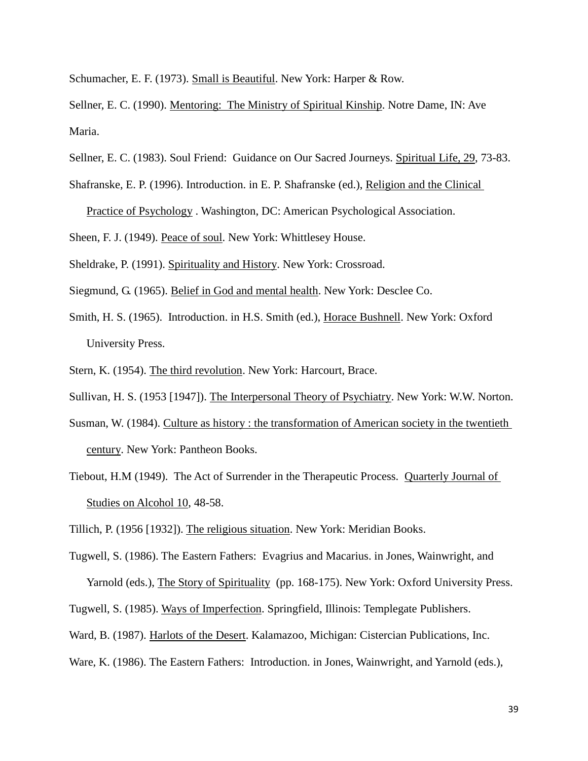Schumacher, E. F. (1973). Small is Beautiful. New York: Harper & Row.

Sellner, E. C. (1990). Mentoring: The Ministry of Spiritual Kinship. Notre Dame, IN: Ave Maria.

- Sellner, E. C. (1983). Soul Friend: Guidance on Our Sacred Journeys. Spiritual Life, 29, 73-83.
- Shafranske, E. P. (1996). Introduction. in E. P. Shafranske (ed.), Religion and the Clinical

Practice of Psychology . Washington, DC: American Psychological Association.

Sheen, F. J. (1949). Peace of soul. New York: Whittlesey House.

Sheldrake, P. (1991). Spirituality and History. New York: Crossroad.

Siegmund, G. (1965). Belief in God and mental health. New York: Desclee Co.

- Smith, H. S. (1965). Introduction. in H.S. Smith (ed.), Horace Bushnell. New York: Oxford University Press.
- Stern, K. (1954). The third revolution. New York: Harcourt, Brace.

Sullivan, H. S. (1953 [1947]). The Interpersonal Theory of Psychiatry. New York: W.W. Norton.

- Susman, W. (1984). Culture as history : the transformation of American society in the twentieth century. New York: Pantheon Books.
- Tiebout, H.M (1949). The Act of Surrender in the Therapeutic Process. Quarterly Journal of Studies on Alcohol 10, 48-58.

Tillich, P. (1956 [1932]). The religious situation. New York: Meridian Books.

- Tugwell, S. (1986). The Eastern Fathers: Evagrius and Macarius. in Jones, Wainwright, and Yarnold (eds.), The Story of Spirituality (pp. 168-175). New York: Oxford University Press.
- Tugwell, S. (1985). Ways of Imperfection. Springfield, Illinois: Templegate Publishers.

Ward, B. (1987). Harlots of the Desert. Kalamazoo, Michigan: Cistercian Publications, Inc.

Ware, K. (1986). The Eastern Fathers: Introduction. in Jones, Wainwright, and Yarnold (eds.),